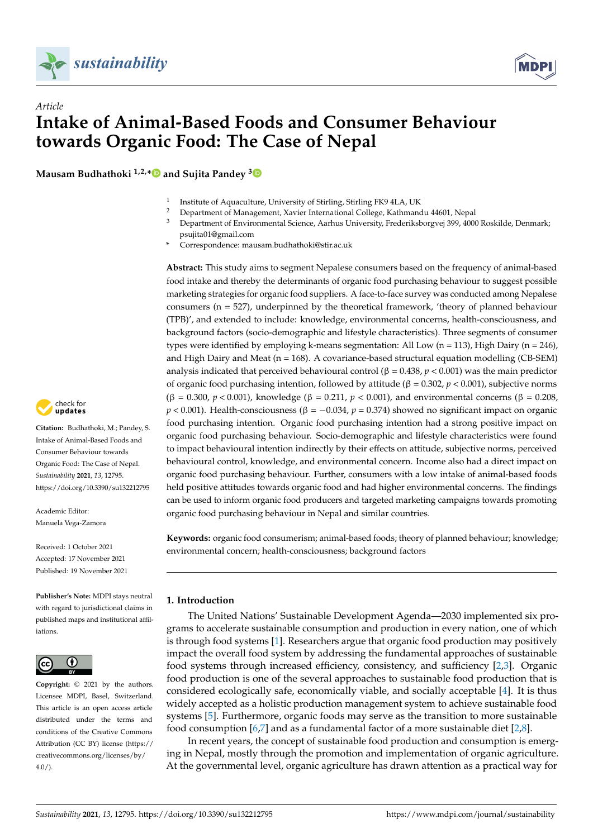



**Mausam Budhathoki 1,2,[\\*](https://orcid.org/0000-0003-4689-2238) and Sujita Pandey [3](https://orcid.org/0000-0003-2011-6775)**



- <sup>2</sup> Department of Management, Xavier International College, Kathmandu 44601, Nepal<br><sup>3</sup> Department of Environmental Science, Aerbus University, Enclosikoherevei 200, 4000
- <sup>3</sup> Department of Environmental Science, Aarhus University, Frederiksborgvej 399, 4000 Roskilde, Denmark; psujita01@gmail.com
- **\*** Correspondence: mausam.budhathoki@stir.ac.uk

**Abstract:** This study aims to segment Nepalese consumers based on the frequency of animal-based food intake and thereby the determinants of organic food purchasing behaviour to suggest possible marketing strategies for organic food suppliers. A face-to-face survey was conducted among Nepalese consumers ( $n = 527$ ), underpinned by the theoretical framework, 'theory of planned behaviour (TPB)', and extended to include: knowledge, environmental concerns, health-consciousness, and background factors (socio-demographic and lifestyle characteristics). Three segments of consumer types were identified by employing k-means segmentation: All Low (n = 113), High Dairy (n = 246), and High Dairy and Meat ( $n = 168$ ). A covariance-based structural equation modelling (CB-SEM) analysis indicated that perceived behavioural control ( $\beta = 0.438$ ,  $p < 0.001$ ) was the main predictor of organic food purchasing intention, followed by attitude (β = 0.302, *p* < 0.001), subjective norms (β = 0.300, *p* < 0.001), knowledge (β = 0.211, *p* < 0.001), and environmental concerns (β = 0.208,  $p < 0.001$ ). Health-consciousness ( $\beta = -0.034$ ,  $p = 0.374$ ) showed no significant impact on organic food purchasing intention. Organic food purchasing intention had a strong positive impact on organic food purchasing behaviour. Socio-demographic and lifestyle characteristics were found to impact behavioural intention indirectly by their effects on attitude, subjective norms, perceived behavioural control, knowledge, and environmental concern. Income also had a direct impact on organic food purchasing behaviour. Further, consumers with a low intake of animal-based foods held positive attitudes towards organic food and had higher environmental concerns. The findings can be used to inform organic food producers and targeted marketing campaigns towards promoting organic food purchasing behaviour in Nepal and similar countries.

**Keywords:** organic food consumerism; animal-based foods; theory of planned behaviour; knowledge; environmental concern; health-consciousness; background factors

## **1. Introduction**

The United Nations' Sustainable Development Agenda—2030 implemented six programs to accelerate sustainable consumption and production in every nation, one of which is through food systems [\[1\]](#page-14-0). Researchers argue that organic food production may positively impact the overall food system by addressing the fundamental approaches of sustainable food systems through increased efficiency, consistency, and sufficiency [\[2](#page-14-1)[,3\]](#page-14-2). Organic food production is one of the several approaches to sustainable food production that is considered ecologically safe, economically viable, and socially acceptable [\[4\]](#page-14-3). It is thus widely accepted as a holistic production management system to achieve sustainable food systems [\[5\]](#page-14-4). Furthermore, organic foods may serve as the transition to more sustainable food consumption [\[6](#page-14-5)[,7\]](#page-14-6) and as a fundamental factor of a more sustainable diet [\[2,](#page-14-1)[8\]](#page-14-7).

In recent years, the concept of sustainable food production and consumption is emerging in Nepal, mostly through the promotion and implementation of organic agriculture. At the governmental level, organic agriculture has drawn attention as a practical way for



**Citation:** Budhathoki, M.; Pandey, S. Intake of Animal-Based Foods and Consumer Behaviour towards Organic Food: The Case of Nepal. *Sustainability* **2021**, *13*, 12795. <https://doi.org/10.3390/su132212795>

Academic Editor: Manuela Vega-Zamora

Received: 1 October 2021 Accepted: 17 November 2021 Published: 19 November 2021

**Publisher's Note:** MDPI stays neutral with regard to jurisdictional claims in published maps and institutional affiliations.



**Copyright:** © 2021 by the authors. Licensee MDPI, Basel, Switzerland. This article is an open access article distributed under the terms and conditions of the Creative Commons Attribution (CC BY) license (https:/[/](https://creativecommons.org/licenses/by/4.0/) [creativecommons.org/licenses/by/](https://creativecommons.org/licenses/by/4.0/)  $4.0/$ ).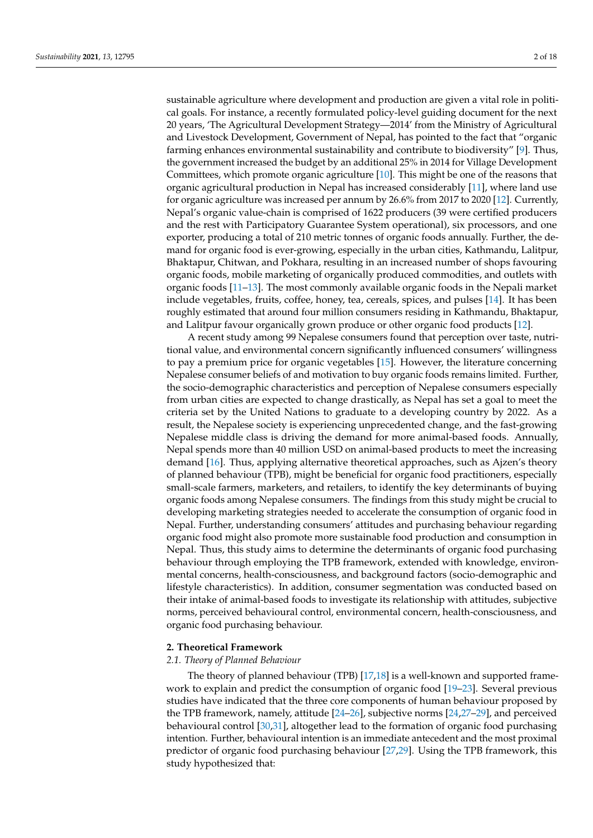sustainable agriculture where development and production are given a vital role in political goals. For instance, a recently formulated policy-level guiding document for the next 20 years, 'The Agricultural Development Strategy—2014' from the Ministry of Agricultural and Livestock Development, Government of Nepal, has pointed to the fact that "organic farming enhances environmental sustainability and contribute to biodiversity" [\[9\]](#page-14-8). Thus, the government increased the budget by an additional 25% in 2014 for Village Development Committees, which promote organic agriculture [\[10\]](#page-14-9). This might be one of the reasons that organic agricultural production in Nepal has increased considerably [\[11\]](#page-14-10), where land use for organic agriculture was increased per annum by 26.6% from 2017 to 2020 [\[12\]](#page-14-11). Currently, Nepal's organic value-chain is comprised of 1622 producers (39 were certified producers and the rest with Participatory Guarantee System operational), six processors, and one exporter, producing a total of 210 metric tonnes of organic foods annually. Further, the demand for organic food is ever-growing, especially in the urban cities, Kathmandu, Lalitpur, Bhaktapur, Chitwan, and Pokhara, resulting in an increased number of shops favouring organic foods, mobile marketing of organically produced commodities, and outlets with organic foods [\[11–](#page-14-10)[13\]](#page-14-12). The most commonly available organic foods in the Nepali market include vegetables, fruits, coffee, honey, tea, cereals, spices, and pulses [\[14\]](#page-14-13). It has been roughly estimated that around four million consumers residing in Kathmandu, Bhaktapur, and Lalitpur favour organically grown produce or other organic food products [\[12\]](#page-14-11).

A recent study among 99 Nepalese consumers found that perception over taste, nutritional value, and environmental concern significantly influenced consumers' willingness to pay a premium price for organic vegetables [\[15\]](#page-14-14). However, the literature concerning Nepalese consumer beliefs of and motivation to buy organic foods remains limited. Further, the socio-demographic characteristics and perception of Nepalese consumers especially from urban cities are expected to change drastically, as Nepal has set a goal to meet the criteria set by the United Nations to graduate to a developing country by 2022. As a result, the Nepalese society is experiencing unprecedented change, and the fast-growing Nepalese middle class is driving the demand for more animal-based foods. Annually, Nepal spends more than 40 million USD on animal-based products to meet the increasing demand [\[16\]](#page-14-15). Thus, applying alternative theoretical approaches, such as Ajzen's theory of planned behaviour (TPB), might be beneficial for organic food practitioners, especially small-scale farmers, marketers, and retailers, to identify the key determinants of buying organic foods among Nepalese consumers. The findings from this study might be crucial to developing marketing strategies needed to accelerate the consumption of organic food in Nepal. Further, understanding consumers' attitudes and purchasing behaviour regarding organic food might also promote more sustainable food production and consumption in Nepal. Thus, this study aims to determine the determinants of organic food purchasing behaviour through employing the TPB framework, extended with knowledge, environmental concerns, health-consciousness, and background factors (socio-demographic and lifestyle characteristics). In addition, consumer segmentation was conducted based on their intake of animal-based foods to investigate its relationship with attitudes, subjective norms, perceived behavioural control, environmental concern, health-consciousness, and organic food purchasing behaviour.

#### **2. Theoretical Framework**

#### *2.1. Theory of Planned Behaviour*

The theory of planned behaviour (TPB) [\[17,](#page-14-16)[18\]](#page-14-17) is a well-known and supported framework to explain and predict the consumption of organic food [\[19](#page-14-18)[–23\]](#page-14-19). Several previous studies have indicated that the three core components of human behaviour proposed by the TPB framework, namely, attitude [\[24](#page-14-20)[–26\]](#page-15-0), subjective norms [\[24,](#page-14-20)[27](#page-15-1)[–29\]](#page-15-2), and perceived behavioural control [\[30](#page-15-3)[,31\]](#page-15-4), altogether lead to the formation of organic food purchasing intention. Further, behavioural intention is an immediate antecedent and the most proximal predictor of organic food purchasing behaviour [\[27,](#page-15-1)[29\]](#page-15-2). Using the TPB framework, this study hypothesized that: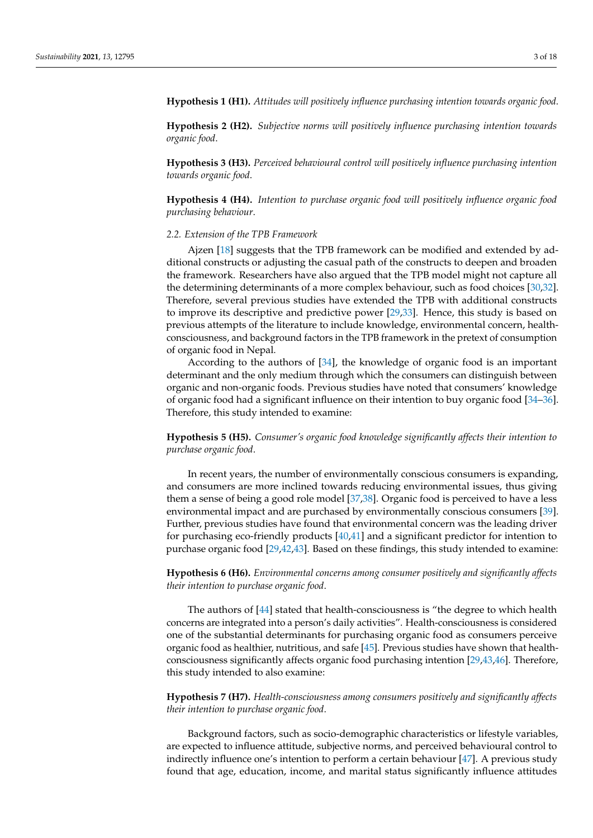**Hypothesis 1 (H1).** *Attitudes will positively influence purchasing intention towards organic food*.

**Hypothesis 2 (H2).** *Subjective norms will positively influence purchasing intention towards organic food*.

**Hypothesis 3 (H3).** *Perceived behavioural control will positively influence purchasing intention towards organic food*.

**Hypothesis 4 (H4).** *Intention to purchase organic food will positively influence organic food purchasing behaviour*.

#### *2.2. Extension of the TPB Framework*

Ajzen [\[18\]](#page-14-17) suggests that the TPB framework can be modified and extended by additional constructs or adjusting the casual path of the constructs to deepen and broaden the framework. Researchers have also argued that the TPB model might not capture all the determining determinants of a more complex behaviour, such as food choices [\[30,](#page-15-3)[32\]](#page-15-5). Therefore, several previous studies have extended the TPB with additional constructs to improve its descriptive and predictive power [\[29,](#page-15-2)[33\]](#page-15-6). Hence, this study is based on previous attempts of the literature to include knowledge, environmental concern, healthconsciousness, and background factors in the TPB framework in the pretext of consumption of organic food in Nepal.

According to the authors of [\[34\]](#page-15-7), the knowledge of organic food is an important determinant and the only medium through which the consumers can distinguish between organic and non-organic foods. Previous studies have noted that consumers' knowledge of organic food had a significant influence on their intention to buy organic food [\[34](#page-15-7)[–36\]](#page-15-8). Therefore, this study intended to examine:

**Hypothesis 5 (H5).** *Consumer's organic food knowledge significantly affects their intention to purchase organic food*.

In recent years, the number of environmentally conscious consumers is expanding, and consumers are more inclined towards reducing environmental issues, thus giving them a sense of being a good role model [\[37](#page-15-9)[,38\]](#page-15-10). Organic food is perceived to have a less environmental impact and are purchased by environmentally conscious consumers [\[39\]](#page-15-11). Further, previous studies have found that environmental concern was the leading driver for purchasing eco-friendly products [\[40](#page-15-12)[,41\]](#page-15-13) and a significant predictor for intention to purchase organic food [\[29,](#page-15-2)[42,](#page-15-14)[43\]](#page-15-15). Based on these findings, this study intended to examine:

**Hypothesis 6 (H6).** *Environmental concerns among consumer positively and significantly affects their intention to purchase organic food*.

The authors of [\[44\]](#page-15-16) stated that health-consciousness is "the degree to which health concerns are integrated into a person's daily activities". Health-consciousness is considered one of the substantial determinants for purchasing organic food as consumers perceive organic food as healthier, nutritious, and safe [\[45\]](#page-15-17). Previous studies have shown that healthconsciousness significantly affects organic food purchasing intention [\[29,](#page-15-2)[43,](#page-15-15)[46\]](#page-15-18). Therefore, this study intended to also examine:

**Hypothesis 7 (H7).** *Health-consciousness among consumers positively and significantly affects their intention to purchase organic food*.

Background factors, such as socio-demographic characteristics or lifestyle variables, are expected to influence attitude, subjective norms, and perceived behavioural control to indirectly influence one's intention to perform a certain behaviour [\[47\]](#page-15-19). A previous study found that age, education, income, and marital status significantly influence attitudes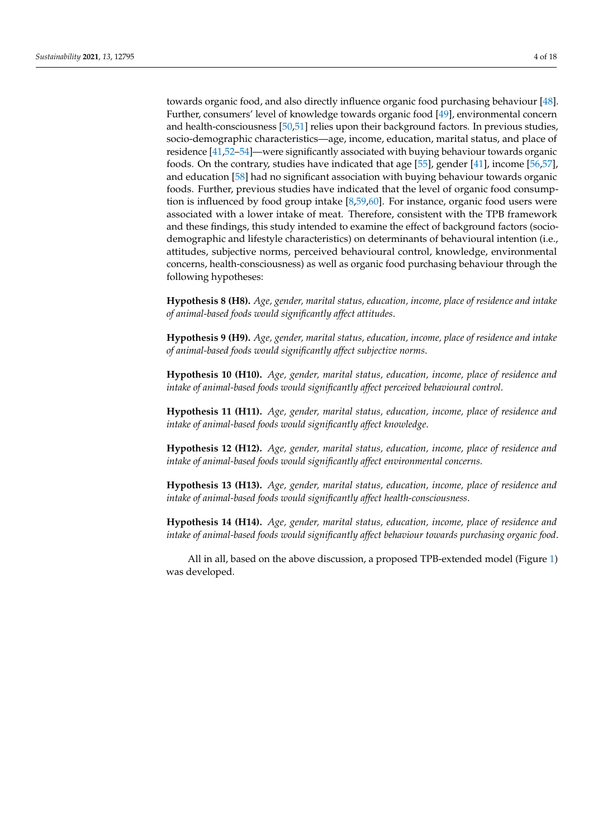towards organic food, and also directly influence organic food purchasing behaviour [\[48\]](#page-15-20). Further, consumers' level of knowledge towards organic food [\[49\]](#page-15-21), environmental concern and health-consciousness [\[50](#page-15-22)[,51\]](#page-15-23) relies upon their background factors. In previous studies, socio-demographic characteristics—age, income, education, marital status, and place of residence [\[41,](#page-15-13)[52–](#page-15-24)[54\]](#page-15-25)—were significantly associated with buying behaviour towards organic foods. On the contrary, studies have indicated that age [\[55\]](#page-16-0), gender [\[41\]](#page-15-13), income [\[56,](#page-16-1)[57\]](#page-16-2), and education [\[58\]](#page-16-3) had no significant association with buying behaviour towards organic foods. Further, previous studies have indicated that the level of organic food consumption is influenced by food group intake [\[8](#page-14-7)[,59](#page-16-4)[,60\]](#page-16-5). For instance, organic food users were associated with a lower intake of meat. Therefore, consistent with the TPB framework and these findings, this study intended to examine the effect of background factors (sociodemographic and lifestyle characteristics) on determinants of behavioural intention (i.e., attitudes, subjective norms, perceived behavioural control, knowledge, environmental concerns, health-consciousness) as well as organic food purchasing behaviour through the following hypotheses:

**Hypothesis 8 (H8).** *Age, gender, marital status, education, income, place of residence and intake of animal-based foods would significantly affect attitudes*.

**Hypothesis 9 (H9).** *Age, gender, marital status, education, income, place of residence and intake of animal-based foods would significantly affect subjective norms*.

**Hypothesis 10 (H10).** *Age, gender, marital status, education, income, place of residence and intake of animal-based foods would significantly affect perceived behavioural control*.

**Hypothesis 11 (H11).** *Age, gender, marital status, education, income, place of residence and intake of animal-based foods would significantly affect knowledge*.

**Hypothesis 12 (H12).** *Age, gender, marital status, education, income, place of residence and intake of animal-based foods would significantly affect environmental concerns*.

**Hypothesis 13 (H13).** *Age, gender, marital status, education, income, place of residence and intake of animal-based foods would significantly affect health-consciousness*.

**Hypothesis 14 (H14).** *Age, gender, marital status, education, income, place of residence and intake of animal-based foods would significantly affect behaviour towards purchasing organic food*.

All in all, based on the above discussion, a proposed TPB-extended model (Figure [1\)](#page-4-0) was developed.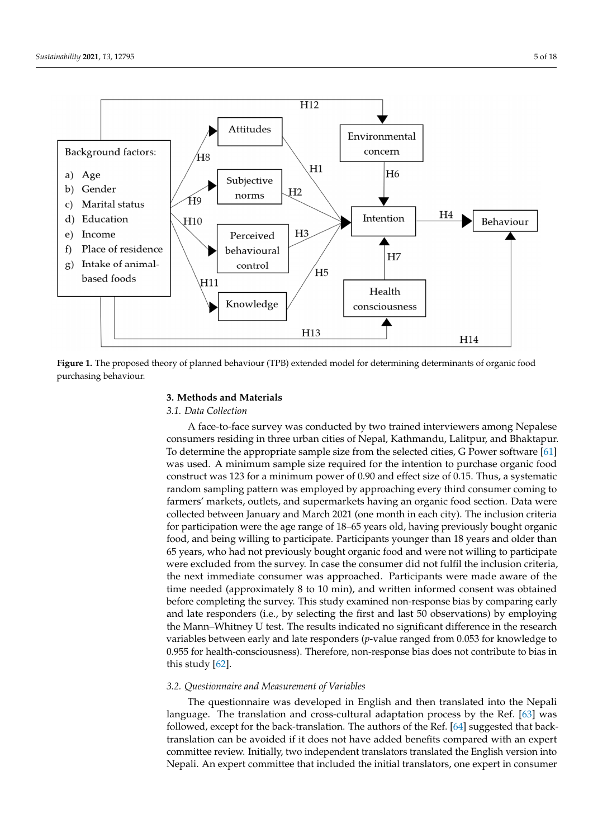<span id="page-4-0"></span>

**Figure 1.** The proposed theory of planned behaviour (TPB) extended model for determining determinants of organic food purchasing behaviour. purchasing behaviour.

## **3. Methods and Materials 3. Methods and Materials**

## *3.1. Data Collection 3.1. Data Collection*

A face-to-face survey was conducted by two trained interviewers among Nepalese A face-to-face survey was conducted by two trained interviewers among Nepalese consumers residing in three urban cities of Nepal, Kathmandu, Lalitpur, and Bhaktapur. consumers residing in three urban cities of Nepal, Kathmandu, Lalitpur, and Bhaktapur. To determine the appropriate sample size from the selected cities, G Power software [61] To determine the appropriate sample size from the selected cities, G Power software [\[61\]](#page-16-6) was used. A minimum sample size required for the intention to purchase organic food was used. A minimum sample size required for the intention to purchase organic food construct was 123 for a minimum power of 0.90 and effect size of 0.15. Thus, a systematic construct was 123 for a minimum power of 0.90 and effect size of 0.15. Thus, a systematic random sampling pattern was employed by approaching every third consumer coming random sampling pattern was employed by approaching every third consumer coming to farmers' markets, outlets, and supermarkets having an organic food section. Data were collected between January and March 2021 (one month in each city). The inclusion criteria collected between January and March 2021 (one month in each city). The inclusion criteria for participation were the age range of 18–65 years old, having previously bought organic for participation were the age range of 18–65 years old, having previously bought organic food, and being willing to participate. Participants younger than 18 years and older than food, and being willing to participate. Participants younger than 18 years and older than 65 years, who had not previously bought organic food and were not willing to participate 65 years, who had not previously bought organic food and were not willing to participate were excluded from the survey. In case the consumer did not fulfil the inclusion criteria, were excluded from the survey. In case the consumer did not fulfil the inclusion criteria, the next immediate consumer was approached. Participants were made aware of the time needed (approximately 8 to 10 min), and written informed consent was obtained before completing the survey. This study examined non-response bias by comparing early and late responders (i.e., by selecting the first and last  $50$  observations) by employing the Mann–Whitney U test. The results indicated no significant difference in the research iables between early and late responders (*p*-value ranged from 0.053 for knowledge to variables between early and late responders (*p*-value ranged from 0.053 for knowledge to 0.955 for health-consciousness). Therefore, non-response bias does not contribute to bias 0.955 for health-consciousness). Therefore, non-response bias does not contribute to bias in this study  $[62]$ .

# *3.2. Questionnaire and Measurement of Variables 3.2. Questionnaire and Measurement of Variables*

The questionnaire was developed in English and then translated into the Nepali In equivalent was accepted in English and dien danshed the nepalsianguage. The translation and cross-cultural adaptation process by the Ref. [\[63\]](#page-16-8) was except for the back-translation. The authors of the Ref.  $\mathcal{E}(4)$  suggested that back-translation  $\mathcal{E}(4)$  suggested that back-translation  $\mathcal{E}(4)$ followed, except for the back-translation. The authors of the Ref. [\[64\]](#page-16-9) suggested that back-<br>translation combines with diffusion at home added have fit assume and with an expert translation can be avoided if it does not have added benefits compared with an expert committee review. Initially, two independent translators translated the English version into Nepali. An expert committee that included the initial translators, one expert in consumer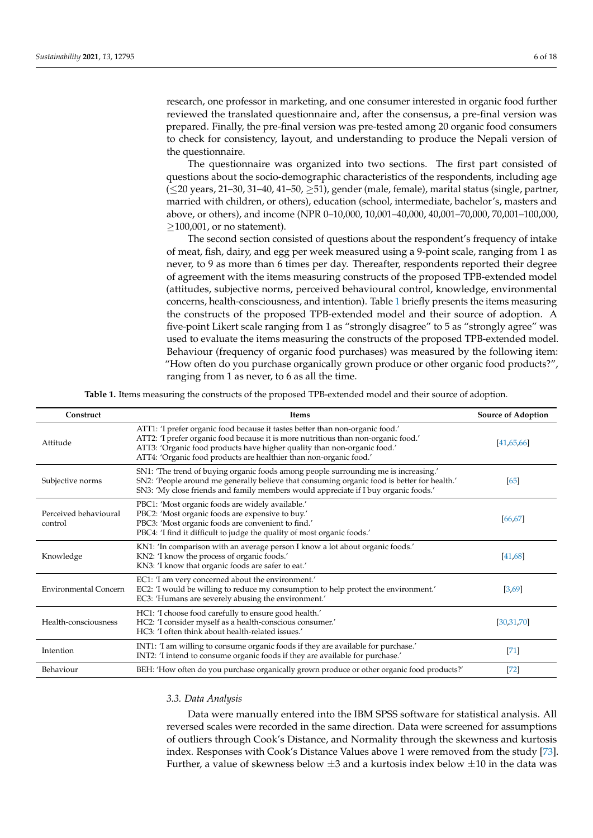research, one professor in marketing, and one consumer interested in organic food further reviewed the translated questionnaire and, after the consensus, a pre-final version was prepared. Finally, the pre-final version was pre-tested among 20 organic food consumers to check for consistency, layout, and understanding to produce the Nepali version of the questionnaire.

The questionnaire was organized into two sections. The first part consisted of questions about the socio-demographic characteristics of the respondents, including age (≤20 years, 21–30, 31–40, 41–50, ≥51), gender (male, female), marital status (single, partner, married with children, or others), education (school, intermediate, bachelor's, masters and above, or others), and income (NPR 0–10,000, 10,001–40,000, 40,001–70,000, 70,001–100,000,  $\geq$ 100,001, or no statement).

The second section consisted of questions about the respondent's frequency of intake of meat, fish, dairy, and egg per week measured using a 9-point scale, ranging from 1 as never, to 9 as more than 6 times per day. Thereafter, respondents reported their degree of agreement with the items measuring constructs of the proposed TPB-extended model (attitudes, subjective norms, perceived behavioural control, knowledge, environmental concerns, health-consciousness, and intention). Table [1](#page-5-0) briefly presents the items measuring the constructs of the proposed TPB-extended model and their source of adoption. A five-point Likert scale ranging from 1 as "strongly disagree" to 5 as "strongly agree" was used to evaluate the items measuring the constructs of the proposed TPB-extended model. Behaviour (frequency of organic food purchases) was measured by the following item: "How often do you purchase organically grown produce or other organic food products?", ranging from 1 as never, to 6 as all the time.

**Table 1.** Items measuring the constructs of the proposed TPB-extended model and their source of adoption.

<span id="page-5-0"></span>

| Construct                        | Items                                                                                                                                                                                                                                                                                                                 | <b>Source of Adoption</b> |
|----------------------------------|-----------------------------------------------------------------------------------------------------------------------------------------------------------------------------------------------------------------------------------------------------------------------------------------------------------------------|---------------------------|
| Attitude                         | ATT1: 'I prefer organic food because it tastes better than non-organic food.'<br>ATT2: 'I prefer organic food because it is more nutritious than non-organic food.'<br>ATT3: 'Organic food products have higher quality than non-organic food.'<br>ATT4: 'Organic food products are healthier than non-organic food.' | [41, 65, 66]              |
| Subjective norms                 | SN1: 'The trend of buying organic foods among people surrounding me is increasing.'<br>SN2: 'People around me generally believe that consuming organic food is better for health.'<br>SN3: 'My close friends and family members would appreciate if I buy organic foods.'                                             | [65]                      |
| Perceived behavioural<br>control | PBC1: 'Most organic foods are widely available.'<br>PBC2: 'Most organic foods are expensive to buy.'<br>PBC3: 'Most organic foods are convenient to find.'<br>PBC4: 'I find it difficult to judge the quality of most organic foods.'                                                                                 | [66, 67]                  |
| Knowledge                        | KN1: 'In comparison with an average person I know a lot about organic foods.'<br>KN2: 'I know the process of organic foods.'<br>KN3: 'I know that organic foods are safer to eat.'                                                                                                                                    | [41,68]                   |
| <b>Environmental Concern</b>     | EC1: 'I am very concerned about the environment.'<br>EC2: 'I would be willing to reduce my consumption to help protect the environment.'<br>EC3: 'Humans are severely abusing the environment.'                                                                                                                       | [3,69]                    |
| Health-consciousness             | HC1: 'I choose food carefully to ensure good health.'<br>HC2: 'I consider myself as a health-conscious consumer.'<br>HC3: 'I often think about health-related issues.'                                                                                                                                                | [30,31,70]                |
| Intention                        | INT1: 'I am willing to consume organic foods if they are available for purchase.'<br>INT2: 'I intend to consume organic foods if they are available for purchase.'                                                                                                                                                    | $[71]$                    |
| Behaviour                        | BEH: 'How often do you purchase organically grown produce or other organic food products?'                                                                                                                                                                                                                            | $[72]$                    |

#### *3.3. Data Analysis*

Data were manually entered into the IBM SPSS software for statistical analysis. All reversed scales were recorded in the same direction. Data were screened for assumptions of outliers through Cook's Distance, and Normality through the skewness and kurtosis index. Responses with Cook's Distance Values above 1 were removed from the study [\[73\]](#page-16-18). Further, a value of skewness below  $\pm 3$  and a kurtosis index below  $\pm 10$  in the data was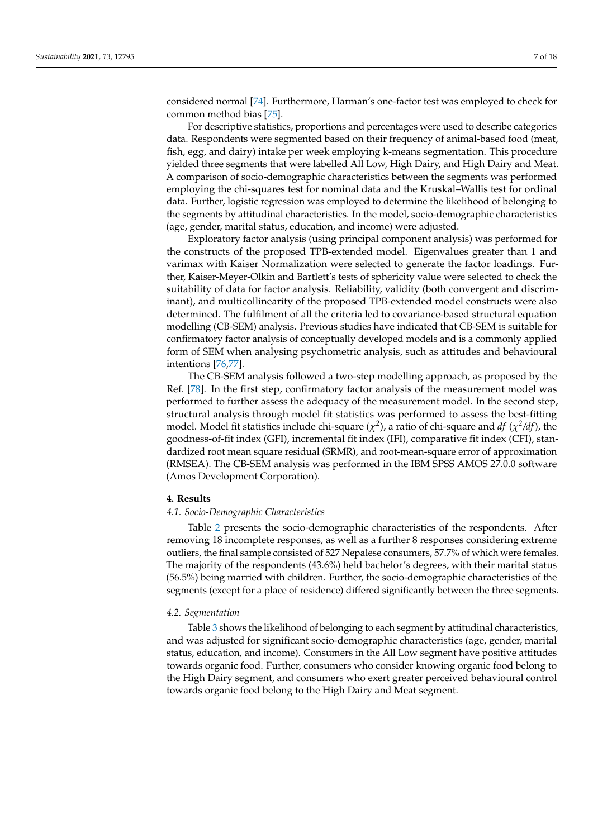considered normal [\[74\]](#page-16-19). Furthermore, Harman's one-factor test was employed to check for common method bias [\[75\]](#page-16-20).

For descriptive statistics, proportions and percentages were used to describe categories data. Respondents were segmented based on their frequency of animal-based food (meat, fish, egg, and dairy) intake per week employing k-means segmentation. This procedure yielded three segments that were labelled All Low, High Dairy, and High Dairy and Meat. A comparison of socio-demographic characteristics between the segments was performed employing the chi-squares test for nominal data and the Kruskal–Wallis test for ordinal data. Further, logistic regression was employed to determine the likelihood of belonging to the segments by attitudinal characteristics. In the model, socio-demographic characteristics (age, gender, marital status, education, and income) were adjusted.

Exploratory factor analysis (using principal component analysis) was performed for the constructs of the proposed TPB-extended model. Eigenvalues greater than 1 and varimax with Kaiser Normalization were selected to generate the factor loadings. Further, Kaiser-Meyer-Olkin and Bartlett's tests of sphericity value were selected to check the suitability of data for factor analysis. Reliability, validity (both convergent and discriminant), and multicollinearity of the proposed TPB-extended model constructs were also determined. The fulfilment of all the criteria led to covariance-based structural equation modelling (CB-SEM) analysis. Previous studies have indicated that CB-SEM is suitable for confirmatory factor analysis of conceptually developed models and is a commonly applied form of SEM when analysing psychometric analysis, such as attitudes and behavioural intentions [\[76,](#page-16-21)[77\]](#page-16-22).

The CB-SEM analysis followed a two-step modelling approach, as proposed by the Ref. [\[78\]](#page-16-23). In the first step, confirmatory factor analysis of the measurement model was performed to further assess the adequacy of the measurement model. In the second step, structural analysis through model fit statistics was performed to assess the best-fitting model. Model fit statistics include chi-square ( $\chi^2$ ), a ratio of chi-square and *df* ( $\chi^2$ /*df*), the goodness-of-fit index (GFI), incremental fit index (IFI), comparative fit index (CFI), standardized root mean square residual (SRMR), and root-mean-square error of approximation (RMSEA). The CB-SEM analysis was performed in the IBM SPSS AMOS 27.0.0 software (Amos Development Corporation).

#### **4. Results**

#### *4.1. Socio-Demographic Characteristics*

Table [2](#page-7-0) presents the socio-demographic characteristics of the respondents. After removing 18 incomplete responses, as well as a further 8 responses considering extreme outliers, the final sample consisted of 527 Nepalese consumers, 57.7% of which were females. The majority of the respondents (43.6%) held bachelor's degrees, with their marital status (56.5%) being married with children. Further, the socio-demographic characteristics of the segments (except for a place of residence) differed significantly between the three segments.

#### *4.2. Segmentation*

Table [3](#page-7-1) shows the likelihood of belonging to each segment by attitudinal characteristics, and was adjusted for significant socio-demographic characteristics (age, gender, marital status, education, and income). Consumers in the All Low segment have positive attitudes towards organic food. Further, consumers who consider knowing organic food belong to the High Dairy segment, and consumers who exert greater perceived behavioural control towards organic food belong to the High Dairy and Meat segment.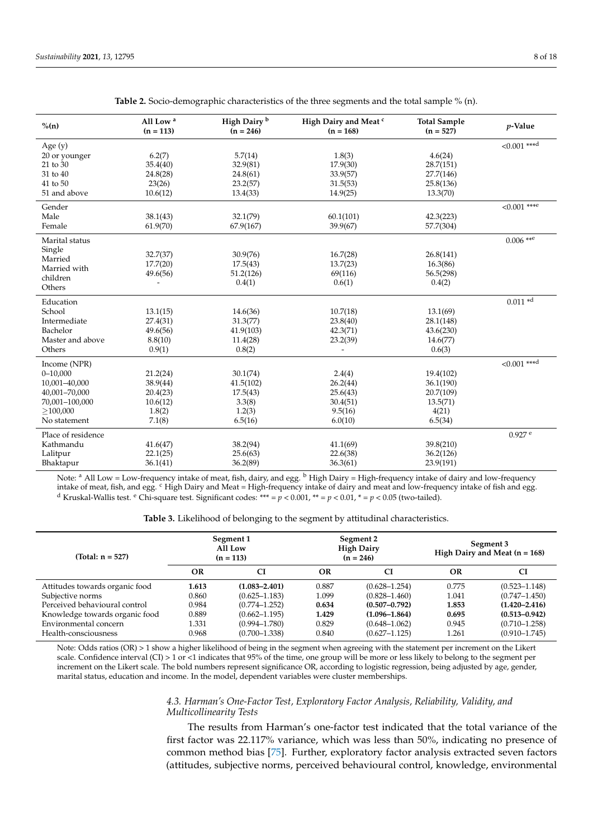<span id="page-7-0"></span>

| $\%$ (n)           | All Low <sup>a</sup><br>$(n = 113)$ | High Dairy <sup>b</sup><br>$(n = 246)$ | High Dairy and Meat <sup>c</sup><br>$(n = 168)$ | <b>Total Sample</b><br>$(n = 527)$ | $p$ -Value           |
|--------------------|-------------------------------------|----------------------------------------|-------------------------------------------------|------------------------------------|----------------------|
| Age (y)            |                                     |                                        |                                                 |                                    | $< 0.001$ ***d       |
| 20 or younger      | 6.2(7)                              | 5.7(14)                                | 1.8(3)                                          | 4.6(24)                            |                      |
| 21 to 30           | 35.4(40)                            | 32.9(81)                               | 17.9(30)                                        | 28.7(151)                          |                      |
| 31 to 40           | 24.8(28)                            | 24.8(61)                               | 33.9(57)                                        | 27.7(146)                          |                      |
| 41 to 50           | 23(26)                              | 23.2(57)                               | 31.5(53)                                        | 25.8(136)                          |                      |
| 51 and above       | 10.6(12)                            | 13.4(33)                               | 14.9(25)                                        | 13.3(70)                           |                      |
| Gender             |                                     |                                        |                                                 |                                    | $< 0.001$ ****       |
| Male               | 38.1(43)                            | 32.1(79)                               | 60.1(101)                                       | 42.3(223)                          |                      |
| Female             | 61.9(70)                            | 67.9(167)                              | 39.9(67)                                        | 57.7(304)                          |                      |
| Marital status     |                                     |                                        |                                                 |                                    | $0.006$ **e          |
| Single             | 32.7(37)                            | 30.9(76)                               | 16.7(28)                                        | 26.8(141)                          |                      |
| Married            | 17.7(20)                            | 17.5(43)                               | 13.7(23)                                        | 16.3(86)                           |                      |
| Married with       | 49.6(56)                            | 51.2(126)                              | 69(116)                                         | 56.5(298)                          |                      |
| children           |                                     | 0.4(1)                                 | 0.6(1)                                          | 0.4(2)                             |                      |
| Others             |                                     |                                        |                                                 |                                    |                      |
| Education          |                                     |                                        |                                                 |                                    | $0.011 *d$           |
| School             | 13.1(15)                            | 14.6(36)                               | 10.7(18)                                        | 13.1(69)                           |                      |
| Intermediate       | 27.4(31)                            | 31.3(77)                               | 23.8(40)                                        | 28.1(148)                          |                      |
| Bachelor           | 49.6(56)                            | 41.9(103)                              | 42.3(71)                                        | 43.6(230)                          |                      |
| Master and above   | 8.8(10)                             | 11.4(28)                               | 23.2(39)                                        | 14.6(77)                           |                      |
| Others             | 0.9(1)                              | 0.8(2)                                 | $\overline{\phantom{a}}$                        | 0.6(3)                             |                      |
| Income (NPR)       |                                     |                                        |                                                 |                                    | $< 0.001$ ***d       |
| $0 - 10,000$       | 21.2(24)                            | 30.1(74)                               | 2.4(4)                                          | 19.4(102)                          |                      |
| 10,001-40,000      | 38.9(44)                            | 41.5(102)                              | 26.2(44)                                        | 36.1(190)                          |                      |
| 40,001-70,000      | 20.4(23)                            | 17.5(43)                               | 25.6(43)                                        | 20.7(109)                          |                      |
| 70,001-100,000     | 10.6(12)                            | 3.3(8)                                 | 30.4(51)                                        | 13.5(71)                           |                      |
| >100,000           | 1.8(2)                              | 1.2(3)                                 | 9.5(16)                                         | 4(21)                              |                      |
| No statement       | 7.1(8)                              | 6.5(16)                                | 6.0(10)                                         | 6.5(34)                            |                      |
| Place of residence |                                     |                                        |                                                 |                                    | $0.927$ <sup>e</sup> |
| Kathmandu          | 41.6(47)                            | 38.2(94)                               | 41.1(69)                                        | 39.8(210)                          |                      |
| Lalitpur           | 22.1(25)                            | 25.6(63)                               | 22.6(38)                                        | 36.2(126)                          |                      |
| Bhaktapur          | 36.1(41)                            | 36.2(89)                               | 36.3(61)                                        | 23.9(191)                          |                      |
|                    |                                     |                                        |                                                 |                                    |                      |

**Table 2.** Socio-demographic characteristics of the three segments and the total sample % (n).

Note: <sup>a</sup> All Low = Low-frequency intake of meat, fish, dairy, and egg. <sup>b</sup> High Dairy = High-frequency intake of dairy and low-frequency intake of meat, fish, and egg. <sup>c</sup> High Dairy and Meat = High-frequency intake of dairy and meat and low-frequency intake of fish and egg. <sup>d</sup> Kruskal-Wallis test. <sup>e</sup> Chi-square test. Significant codes: \*\*\* =  $p < 0.001$ , \*\* =  $p < 0.01$ , \* =  $p < 0.05$  (two-tailed).

**Table 3.** Likelihood of belonging to the segment by attitudinal characteristics.

<span id="page-7-1"></span>

| (Total: $n = 527$ )            |       | Segment 1<br>All Low<br>$(n = 113)$ |       | Segment 2<br><b>High Dairy</b><br>$(n = 246)$ | Segment 3<br>High Dairy and Meat $(n = 168)$ |                   |  |
|--------------------------------|-------|-------------------------------------|-------|-----------------------------------------------|----------------------------------------------|-------------------|--|
|                                | OR    | <b>CI</b>                           | OR    | CI                                            | OR                                           | <b>CI</b>         |  |
| Attitudes towards organic food | 1.613 | $(1.083 - 2.401)$                   | 0.887 | $(0.628 - 1.254)$                             | 0.775                                        | $(0.523 - 1.148)$ |  |
| Subjective norms               | 0.860 | $(0.625 - 1.183)$                   | 1.099 | $(0.828 - 1.460)$                             | 1.041                                        | $(0.747 - 1.450)$ |  |
| Perceived behavioural control  | 0.984 | $(0.774 - 1.252)$                   | 0.634 | $(0.507 - 0.792)$                             | 1.853                                        | $(1.420 - 2.416)$ |  |
| Knowledge towards organic food | 0.889 | $(0.662 - 1.195)$                   | 1.429 | $(1.096 - 1.864)$                             | 0.695                                        | $(0.513 - 0.942)$ |  |
| Environmental concern          | 1.331 | $(0.994 - 1.780)$                   | 0.829 | $(0.648 - 1.062)$                             | 0.945                                        | $(0.710 - 1.258)$ |  |
| Health-consciousness           | 0.968 | $(0.700 - 1.338)$                   | 0.840 | $(0.627 - 1.125)$                             | 1.261                                        | $(0.910 - 1.745)$ |  |

Note: Odds ratios (OR) > 1 show a higher likelihood of being in the segment when agreeing with the statement per increment on the Likert scale. Confidence interval (CI) > 1 or <1 indicates that 95% of the time, one group will be more or less likely to belong to the segment per increment on the Likert scale. The bold numbers represent significance OR, according to logistic regression, being adjusted by age, gender, marital status, education and income. In the model, dependent variables were cluster memberships.

## *4.3. Harman's One-Factor Test, Exploratory Factor Analysis, Reliability, Validity, and Multicollinearity Tests*

The results from Harman's one-factor test indicated that the total variance of the first factor was 22.117% variance, which was less than 50%, indicating no presence of common method bias [\[75\]](#page-16-20). Further, exploratory factor analysis extracted seven factors (attitudes, subjective norms, perceived behavioural control, knowledge, environmental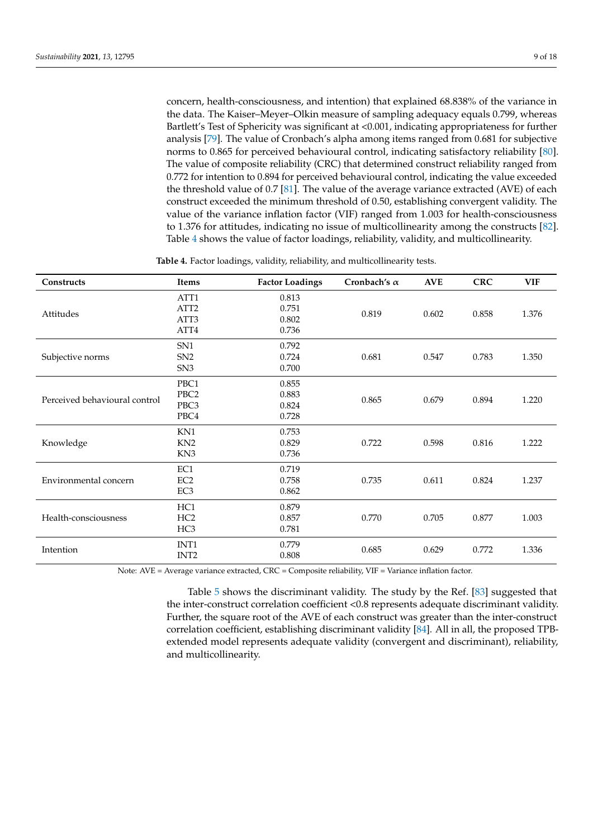concern, health-consciousness, and intention) that explained 68.838% of the variance in the data. The Kaiser–Meyer–Olkin measure of sampling adequacy equals 0.799, whereas Bartlett's Test of Sphericity was significant at <0.001, indicating appropriateness for further analysis [\[79\]](#page-16-24). The value of Cronbach's alpha among items ranged from 0.681 for subjective norms to 0.865 for perceived behavioural control, indicating satisfactory reliability [\[80\]](#page-16-25). The value of composite reliability (CRC) that determined construct reliability ranged from 0.772 for intention to 0.894 for perceived behavioural control, indicating the value exceeded the threshold value of 0.7 [\[81\]](#page-16-26). The value of the average variance extracted (AVE) of each construct exceeded the minimum threshold of 0.50, establishing convergent validity. The value of the variance inflation factor (VIF) ranged from 1.003 for health-consciousness to 1.376 for attitudes, indicating no issue of multicollinearity among the constructs [\[82\]](#page-16-27). Table [4](#page-8-0) shows the value of factor loadings, reliability, validity, and multicollinearity.

**Table 4.** Factor loadings, validity, reliability, and multicollinearity tests.

<span id="page-8-0"></span>

| Constructs                    | <b>Items</b>                              | <b>Factor Loadings</b>           | Cronbach's $\alpha$ | <b>AVE</b> | <b>CRC</b> | <b>VIF</b> |
|-------------------------------|-------------------------------------------|----------------------------------|---------------------|------------|------------|------------|
| Attitudes                     | ATT1<br>ATT <sub>2</sub><br>ATT3<br>ATT4  | 0.813<br>0.751<br>0.802<br>0.736 | 0.819               | 0.602      | 0.858      | 1.376      |
| Subjective norms              | SN <sub>1</sub><br>SN2<br>SN <sub>3</sub> | 0.792<br>0.724<br>0.700          | 0.681               | 0.547      | 0.783      | 1.350      |
| Perceived behavioural control | PBC1<br>PBC <sub>2</sub><br>PBC3<br>PBC4  | 0.855<br>0.883<br>0.824<br>0.728 | 0.865               | 0.679      | 0.894      | 1.220      |
| Knowledge                     | KN1<br>KN <sub>2</sub><br>KN <sub>3</sub> | 0.753<br>0.829<br>0.736          | 0.722               | 0.598      | 0.816      | 1.222      |
| Environmental concern         | EC1<br>EC <sub>2</sub><br>EC <sub>3</sub> | 0.719<br>0.758<br>0.862          | 0.735               | 0.611      | 0.824      | 1.237      |
| Health-consciousness          | HC1<br>HC2<br>HC <sub>3</sub>             | 0.879<br>0.857<br>0.781          | 0.770               | 0.705      | 0.877      | 1.003      |
| Intention                     | INT1<br>INT <sub>2</sub>                  | 0.779<br>0.808                   | 0.685               | 0.629      | 0.772      | 1.336      |

Note: AVE = Average variance extracted, CRC = Composite reliability, VIF = Variance inflation factor.

Table [5](#page-9-0) shows the discriminant validity. The study by the Ref. [\[83\]](#page-16-28) suggested that the inter-construct correlation coefficient <0.8 represents adequate discriminant validity. Further, the square root of the AVE of each construct was greater than the inter-construct correlation coefficient, establishing discriminant validity [\[84\]](#page-16-29). All in all, the proposed TPBextended model represents adequate validity (convergent and discriminant), reliability, and multicollinearity.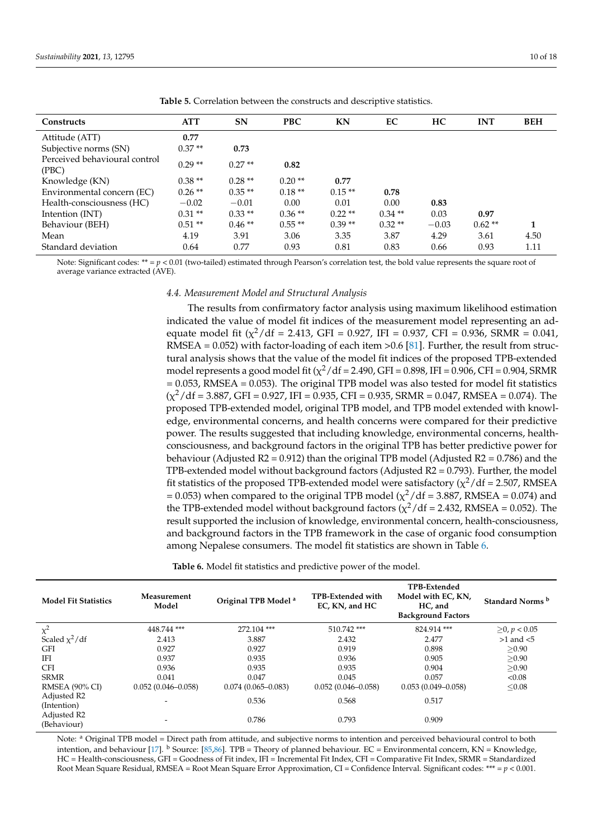<span id="page-9-0"></span>

| Constructs                             | <b>ATT</b> | <b>SN</b> | <b>PBC</b> | KN       | EC       | HC      | <b>INT</b> | <b>BEH</b> |
|----------------------------------------|------------|-----------|------------|----------|----------|---------|------------|------------|
| Attitude (ATT)                         | 0.77       |           |            |          |          |         |            |            |
| Subjective norms (SN)                  | $0.37**$   | 0.73      |            |          |          |         |            |            |
| Perceived behavioural control<br>(PBC) | $0.29**$   | $0.27**$  | 0.82       |          |          |         |            |            |
| Knowledge (KN)                         | $0.38**$   | $0.28**$  | $0.20**$   | 0.77     |          |         |            |            |
| Environmental concern (EC)             | $0.26**$   | $0.35**$  | $0.18**$   | $0.15**$ | 0.78     |         |            |            |
| Health-consciousness (HC)              | $-0.02$    | $-0.01$   | 0.00       | 0.01     | 0.00     | 0.83    |            |            |
| Intention (INT)                        | $0.31**$   | $0.33**$  | $0.36**$   | $0.22**$ | $0.34**$ | 0.03    | 0.97       |            |
| Behaviour (BEH)                        | $0.51**$   | $0.46**$  | $0.55**$   | $0.39**$ | $0.32**$ | $-0.03$ | $0.62**$   | 1          |
| Mean                                   | 4.19       | 3.91      | 3.06       | 3.35     | 3.87     | 4.29    | 3.61       | 4.50       |
| Standard deviation                     | 0.64       | 0.77      | 0.93       | 0.81     | 0.83     | 0.66    | 0.93       | 1.11       |

**Table 5.** Correlation between the constructs and descriptive statistics.

Note: Significant codes:  $** = p < 0.01$  (two-tailed) estimated through Pearson's correlation test, the bold value represents the square root of average variance extracted (AVE).

#### *4.4. Measurement Model and Structural Analysis*

The results from confirmatory factor analysis using maximum likelihood estimation indicated the value of model fit indices of the measurement model representing an adequate model fit  $(\chi^2/df = 2.413,$  GFI = 0.927, IFI = 0.937, CFI = 0.936, SRMR = 0.041, RMSEA =  $0.052$ ) with factor-loading of each item > 0.6 [\[81\]](#page-16-26). Further, the result from structural analysis shows that the value of the model fit indices of the proposed TPB-extended model represents a good model fit ( $\chi^2$ /df = 2.490, GFI = 0.898, IFI = 0.906, CFI = 0.904, SRMR  $= 0.053$ , RMSEA  $= 0.053$ ). The original TPB model was also tested for model fit statistics  $(\chi^2/df = 3.887,$  GFI = 0.927, IFI = 0.935, CFI = 0.935, SRMR = 0.047, RMSEA = 0.074). The proposed TPB-extended model, original TPB model, and TPB model extended with knowledge, environmental concerns, and health concerns were compared for their predictive power. The results suggested that including knowledge, environmental concerns, healthconsciousness, and background factors in the original TPB has better predictive power for behaviour (Adjusted  $R2 = 0.912$ ) than the original TPB model (Adjusted  $R2 = 0.786$ ) and the TPB-extended model without background factors (Adjusted R2 = 0.793). Further, the model fit statistics of the proposed TPB-extended model were satisfactory ( $\chi^2/df = 2.507$ , RMSEA = 0.053) when compared to the original TPB model ( $\chi^2$ /df = 3.887, RMSEA = 0.074) and the TPB-extended model without background factors ( $\chi^2$ /df = 2.432, RMSEA = 0.052). The result supported the inclusion of knowledge, environmental concern, health-consciousness, and background factors in the TPB framework in the case of organic food consumption among Nepalese consumers. The model fit statistics are shown in Table [6.](#page-9-1)

**Table 6.** Model fit statistics and predictive power of the model.

<span id="page-9-1"></span>

| <b>Model Fit Statistics</b> | Measurement<br>Original TPB Model <sup>a</sup><br>Model |                        | <b>TPB-Extended with</b><br>EC, KN, and HC | TPB-Extended<br>Model with EC, KN,<br>HC, and<br><b>Background Factors</b> | Standard Norms <sup>b</sup> |  |  |
|-----------------------------|---------------------------------------------------------|------------------------|--------------------------------------------|----------------------------------------------------------------------------|-----------------------------|--|--|
| $\chi^2$                    | 448.744 ***                                             | 272.104***             | 510.742***                                 | 824.914***                                                                 | $≥$ 0, <i>p</i> < 0.05      |  |  |
| Scaled $\chi^2$ /df         | 2.413                                                   | 3.887                  | 2.432                                      | 2.477                                                                      | $>1$ and $< 5$              |  |  |
| <b>GFI</b>                  | 0.927                                                   | 0.927                  | 0.919                                      | 0.898                                                                      | >0.90                       |  |  |
| <b>IFI</b>                  | 0.937                                                   | 0.935                  | 0.936                                      | 0.905                                                                      | >0.90                       |  |  |
| <b>CFI</b>                  | 0.936                                                   | 0.935                  | 0.935                                      | 0.904                                                                      | >0.90                       |  |  |
| <b>SRMR</b>                 | 0.041                                                   | 0.047                  | 0.045                                      | 0.057                                                                      | < 0.08                      |  |  |
| RMSEA (90% CI)              | $0.052(0.046 - 0.058)$                                  | $0.074(0.065 - 0.083)$ | $0.052(0.046 - 0.058)$                     | $0.053(0.049 - 0.058)$                                                     | < 0.08                      |  |  |
| Adjusted R2<br>(Intention)  | -                                                       | 0.536                  | 0.568                                      | 0.517                                                                      |                             |  |  |
| Adjusted R2<br>(Behaviour)  | $\overline{\phantom{0}}$                                | 0.786                  | 0.793                                      | 0.909                                                                      |                             |  |  |

Note: <sup>a</sup> Original TPB model = Direct path from attitude, and subjective norms to intention and perceived behavioural control to both intention, and behaviour [\[17\]](#page-14-16). <sup>b</sup> Source: [\[85](#page-16-30)[,86\]](#page-16-31). TPB = Theory of planned behaviour. EC = Environmental concern, KN = Knowledge, HC = Health-consciousness, GFI = Goodness of Fit index, IFI = Incremental Fit Index, CFI = Comparative Fit Index, SRMR = Standardized Root Mean Square Residual, RMSEA = Root Mean Square Error Approximation, CI = Confidence Interval. Significant codes: \*\*\* = *p* < 0.001.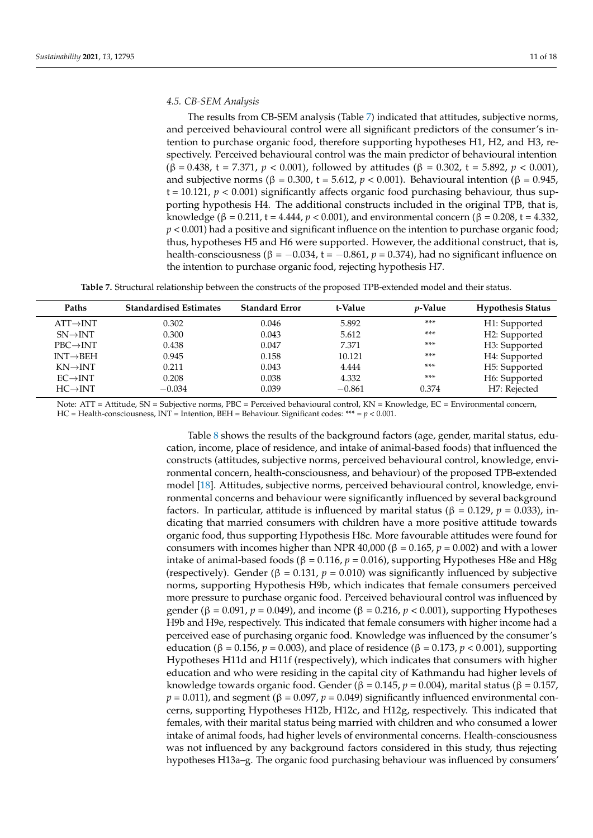### *4.5. CB-SEM Analysis*

The results from CB-SEM analysis (Table [7\)](#page-10-0) indicated that attitudes, subjective norms, and perceived behavioural control were all significant predictors of the consumer's intention to purchase organic food, therefore supporting hypotheses H1, H2, and H3, respectively. Perceived behavioural control was the main predictor of behavioural intention (β = 0.438, t = 7.371, *p* < 0.001), followed by attitudes (β = 0.302, t = 5.892, *p* < 0.001), and subjective norms (β = 0.300, t = 5.612,  $p < 0.001$ ). Behavioural intention (β = 0.945,  $t = 10.121$ ,  $p < 0.001$ ) significantly affects organic food purchasing behaviour, thus supporting hypothesis H4. The additional constructs included in the original TPB, that is, knowledge (β = 0.211, t = 4.444,  $p < 0.001$ ), and environmental concern (β = 0.208, t = 4.332, *p* < 0.001) had a positive and significant influence on the intention to purchase organic food; thus, hypotheses H5 and H6 were supported. However, the additional construct, that is, health-consciousness ( $β = -0.034$ ,  $t = -0.861$ ,  $p = 0.374$ ), had no significant influence on the intention to purchase organic food, rejecting hypothesis H7.

**Table 7.** Structural relationship between the constructs of the proposed TPB-extended model and their status.

<span id="page-10-0"></span>

| Paths                 | <b>Standardised Estimates</b> | <b>Standard Error</b> | t-Value  | <i>v</i> -Value | <b>Hypothesis Status</b> |
|-----------------------|-------------------------------|-----------------------|----------|-----------------|--------------------------|
| $ATT\rightarrow INT$  | 0.302                         | 0.046                 | 5.892    | ***             | H1: Supported            |
| $SN \rightarrow INT$  | 0.300                         | 0.043                 | 5.612    | ***             | H2: Supported            |
| $PBC \rightarrow INT$ | 0.438                         | 0.047                 | 7.371    | ***             | H3: Supported            |
| $INT \rightarrow BEH$ | 0.945                         | 0.158                 | 10.121   | ***             | H4: Supported            |
| $KN\rightarrow INT$   | 0.211                         | 0.043                 | 4.444    | ***             | H5: Supported            |
| $EC \rightarrow INT$  | 0.208                         | 0.038                 | 4.332    | ***             | H6: Supported            |
| $HC \rightarrow INT$  | $-0.034$                      | 0.039                 | $-0.861$ | 0.374           | H7: Rejected             |

Note: ATT = Attitude, SN = Subjective norms, PBC = Perceived behavioural control, KN = Knowledge, EC = Environmental concern, HC = Health-consciousness, INT = Intention, BEH = Behaviour. Significant codes: \*\*\* = *p* < 0.001.

> Table [8](#page-11-0) shows the results of the background factors (age, gender, marital status, education, income, place of residence, and intake of animal-based foods) that influenced the constructs (attitudes, subjective norms, perceived behavioural control, knowledge, environmental concern, health-consciousness, and behaviour) of the proposed TPB-extended model [\[18\]](#page-14-17). Attitudes, subjective norms, perceived behavioural control, knowledge, environmental concerns and behaviour were significantly influenced by several background factors. In particular, attitude is influenced by marital status (β = 0.129, *p* = 0.033), indicating that married consumers with children have a more positive attitude towards organic food, thus supporting Hypothesis H8c. More favourable attitudes were found for consumers with incomes higher than NPR 40,000 ( $β = 0.165$ ,  $p = 0.002$ ) and with a lower intake of animal-based foods ( $β = 0.116$ ,  $p = 0.016$ ), supporting Hypotheses H8e and H8g (respectively). Gender ( $\beta = 0.131$ ,  $p = 0.010$ ) was significantly influenced by subjective norms, supporting Hypothesis H9b, which indicates that female consumers perceived more pressure to purchase organic food. Perceived behavioural control was influenced by gender ( $\beta = 0.091$ ,  $p = 0.049$ ), and income ( $\beta = 0.216$ ,  $p < 0.001$ ), supporting Hypotheses H9b and H9e, respectively. This indicated that female consumers with higher income had a perceived ease of purchasing organic food. Knowledge was influenced by the consumer's education (β = 0.156,  $p = 0.003$ ), and place of residence (β = 0.173,  $p < 0.001$ ), supporting Hypotheses H11d and H11f (respectively), which indicates that consumers with higher education and who were residing in the capital city of Kathmandu had higher levels of knowledge towards organic food. Gender (β = 0.145,  $p = 0.004$ ), marital status (β = 0.157,  $p = 0.011$ ), and segment ( $\beta = 0.097$ ,  $p = 0.049$ ) significantly influenced environmental concerns, supporting Hypotheses H12b, H12c, and H12g, respectively. This indicated that females, with their marital status being married with children and who consumed a lower intake of animal foods, had higher levels of environmental concerns. Health-consciousness was not influenced by any background factors considered in this study, thus rejecting hypotheses H13a–g. The organic food purchasing behaviour was influenced by consumers'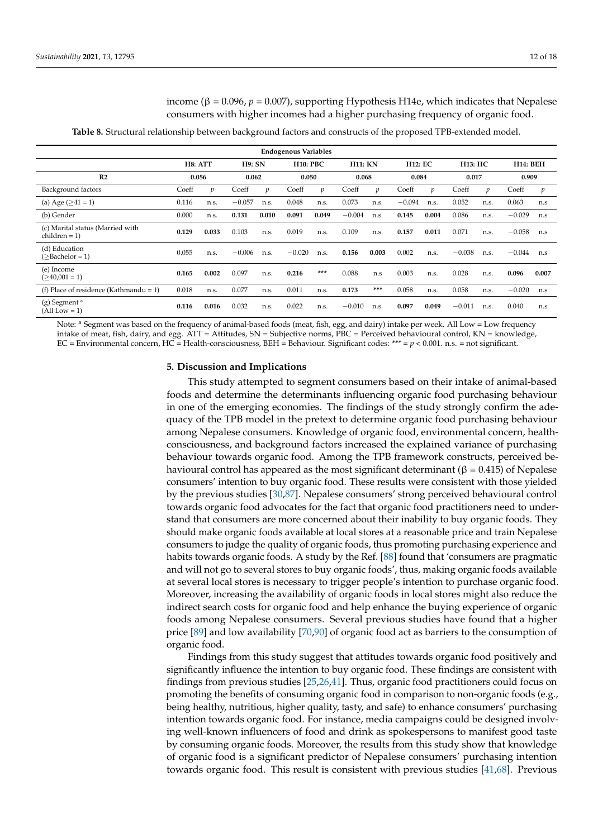income ( $β = 0.096$ ,  $p = 0.007$ ), supporting Hypothesis H14e, which indicates that Nepalese consumers with higher incomes had a higher purchasing frequency of organic food.

**Table 8.** Structural relationship between background factors and constructs of the proposed TPB-extended model.

<span id="page-11-0"></span>

| <b>Endogenous Variables</b>                        |         |       |          |       |          |                 |          |                |          |                |          |                |          |                 |
|----------------------------------------------------|---------|-------|----------|-------|----------|-----------------|----------|----------------|----------|----------------|----------|----------------|----------|-----------------|
|                                                    | H8: ATT |       | H9: SN   |       |          | <b>H10: PBC</b> |          | <b>H11: KN</b> |          | <b>H12: EC</b> |          | <b>H13: HC</b> |          | <b>H14: BEH</b> |
| R <sub>2</sub>                                     | 0.056   |       | 0.062    |       | 0.050    |                 | 0.068    |                | 0.084    |                | 0.017    |                | 0.909    |                 |
| Background factors                                 | Coeff   | v     | Coeff    | v     | Coeff    | p               | Coeff    | v              | Coeff    | v              | Coeff    |                | Coeff    | p               |
| (a) Age $( \geq 41 = 1)$                           | 0.116   | n.s.  | $-0.057$ | n.s.  | 0.048    | n.s.            | 0.073    | n.s.           | $-0.094$ | n.s.           | 0.052    | n.s.           | 0.063    | n.s             |
| (b) Gender                                         | 0.000   | n.s.  | 0.131    | 0.010 | 0.091    | 0.049           | $-0.004$ | n.s.           | 0.145    | 0.004          | 0.086    | n.s.           | $-0.029$ | n.s             |
| (c) Marital status (Married with<br>$children = 1$ | 0.129   | 0.033 | 0.103    | n.s.  | 0.019    | n.s.            | 0.109    | n.s.           | 0.157    | 0.011          | 0.071    | n.s.           | $-0.058$ | n.s             |
| (d) Education<br>(>Bachelor = 1)                   | 0.055   | n.s.  | $-0.006$ | n.s.  | $-0.020$ | n.s.            | 0.156    | 0.003          | 0.002    | n.s.           | $-0.038$ | n.s.           | $-0.044$ | n.s             |
| (e) Income<br>$($ >40,001 = 1)                     | 0.165   | 0.002 | 0.097    | n.s.  | 0.216    | ***             | 0.088    | n.s            | 0.003    | n.s.           | 0.028    | n.s.           | 0.096    | 0.007           |
| (f) Place of residence (Kathmandu = 1)             | 0.018   | n.s.  | 0.077    | n.s.  | 0.011    | n.s.            | 0.173    | ***            | 0.058    | n.s.           | 0.058    | n.s.           | $-0.020$ | n.s             |
| $(g)$ Segment <sup>a</sup><br>$(All Low = 1)$      | 0.116   | 0.016 | 0.032    | n.s.  | 0.022    | n.s.            | $-0.010$ | n.s.           | 0.097    | 0.049          | $-0.011$ | n.s.           | 0.040    | n.s             |

Note: <sup>a</sup> Segment was based on the frequency of animal-based foods (meat, fish, egg, and dairy) intake per week. All Low = Low frequency intake of meat, fish, dairy, and egg. ATT = Attitudes, SN = Subjective norms, PBC = Perceived behavioural control, KN = knowledge, EC = Environmental concern, HC = Health-consciousness, BEH = Behaviour. Significant codes: \*\*\* = *p* < 0.001. n.s. = not significant.

#### **5. Discussion and Implications**

This study attempted to segment consumers based on their intake of animal-based foods and determine the determinants influencing organic food purchasing behaviour in one of the emerging economies. The findings of the study strongly confirm the adequacy of the TPB model in the pretext to determine organic food purchasing behaviour among Nepalese consumers. Knowledge of organic food, environmental concern, healthconsciousness, and background factors increased the explained variance of purchasing behaviour towards organic food. Among the TPB framework constructs, perceived behavioural control has appeared as the most significant determinant ( $β = 0.415$ ) of Nepalese consumers' intention to buy organic food. These results were consistent with those yielded by the previous studies [\[30](#page-15-3)[,87\]](#page-17-0). Nepalese consumers' strong perceived behavioural control towards organic food advocates for the fact that organic food practitioners need to understand that consumers are more concerned about their inability to buy organic foods. They should make organic foods available at local stores at a reasonable price and train Nepalese consumers to judge the quality of organic foods, thus promoting purchasing experience and habits towards organic foods. A study by the Ref. [\[88\]](#page-17-1) found that 'consumers are pragmatic and will not go to several stores to buy organic foods', thus, making organic foods available at several local stores is necessary to trigger people's intention to purchase organic food. Moreover, increasing the availability of organic foods in local stores might also reduce the indirect search costs for organic food and help enhance the buying experience of organic foods among Nepalese consumers. Several previous studies have found that a higher price [\[89\]](#page-17-2) and low availability [\[70,](#page-16-15)[90\]](#page-17-3) of organic food act as barriers to the consumption of organic food.

Findings from this study suggest that attitudes towards organic food positively and significantly influence the intention to buy organic food. These findings are consistent with findings from previous studies [\[25](#page-14-21)[,26](#page-15-0)[,41\]](#page-15-13). Thus, organic food practitioners could focus on promoting the benefits of consuming organic food in comparison to non-organic foods (e.g., being healthy, nutritious, higher quality, tasty, and safe) to enhance consumers' purchasing intention towards organic food. For instance, media campaigns could be designed involving well-known influencers of food and drink as spokespersons to manifest good taste by consuming organic foods. Moreover, the results from this study show that knowledge of organic food is a significant predictor of Nepalese consumers' purchasing intention towards organic food. This result is consistent with previous studies [\[41](#page-15-13)[,68\]](#page-16-13). Previous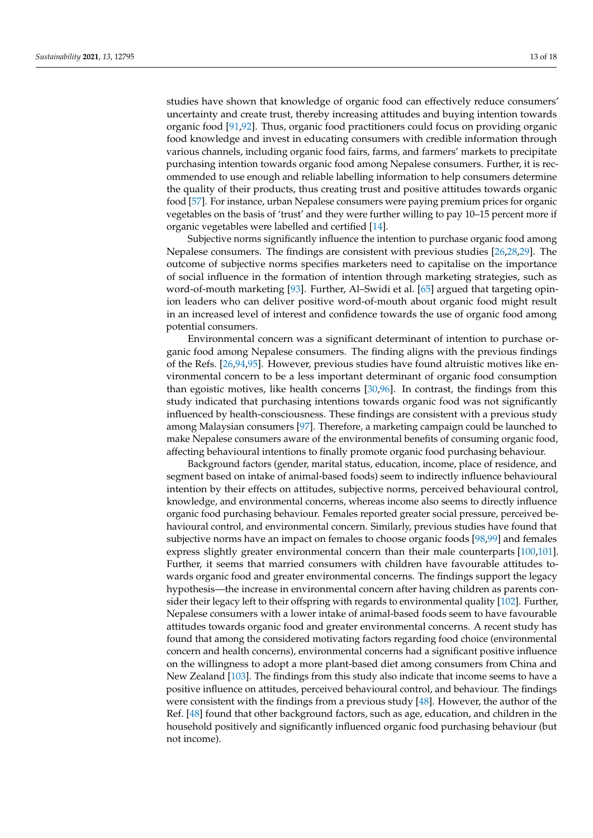studies have shown that knowledge of organic food can effectively reduce consumers' uncertainty and create trust, thereby increasing attitudes and buying intention towards organic food [\[91,](#page-17-4)[92\]](#page-17-5). Thus, organic food practitioners could focus on providing organic food knowledge and invest in educating consumers with credible information through various channels, including organic food fairs, farms, and farmers' markets to precipitate purchasing intention towards organic food among Nepalese consumers. Further, it is recommended to use enough and reliable labelling information to help consumers determine the quality of their products, thus creating trust and positive attitudes towards organic food [\[57\]](#page-16-2). For instance, urban Nepalese consumers were paying premium prices for organic vegetables on the basis of 'trust' and they were further willing to pay 10–15 percent more if

Subjective norms significantly influence the intention to purchase organic food among Nepalese consumers. The findings are consistent with previous studies [\[26](#page-15-0)[,28](#page-15-26)[,29\]](#page-15-2). The outcome of subjective norms specifies marketers need to capitalise on the importance of social influence in the formation of intention through marketing strategies, such as word-of-mouth marketing [\[93\]](#page-17-6). Further, Al–Swidi et al. [\[65\]](#page-16-10) argued that targeting opinion leaders who can deliver positive word-of-mouth about organic food might result in an increased level of interest and confidence towards the use of organic food among potential consumers.

organic vegetables were labelled and certified [\[14\]](#page-14-13).

Environmental concern was a significant determinant of intention to purchase organic food among Nepalese consumers. The finding aligns with the previous findings of the Refs. [\[26](#page-15-0)[,94](#page-17-7)[,95\]](#page-17-8). However, previous studies have found altruistic motives like environmental concern to be a less important determinant of organic food consumption than egoistic motives, like health concerns [\[30,](#page-15-3)[96\]](#page-17-9). In contrast, the findings from this study indicated that purchasing intentions towards organic food was not significantly influenced by health-consciousness. These findings are consistent with a previous study among Malaysian consumers [\[97\]](#page-17-10). Therefore, a marketing campaign could be launched to make Nepalese consumers aware of the environmental benefits of consuming organic food, affecting behavioural intentions to finally promote organic food purchasing behaviour.

Background factors (gender, marital status, education, income, place of residence, and segment based on intake of animal-based foods) seem to indirectly influence behavioural intention by their effects on attitudes, subjective norms, perceived behavioural control, knowledge, and environmental concerns, whereas income also seems to directly influence organic food purchasing behaviour. Females reported greater social pressure, perceived behavioural control, and environmental concern. Similarly, previous studies have found that subjective norms have an impact on females to choose organic foods [\[98,](#page-17-11)[99\]](#page-17-12) and females express slightly greater environmental concern than their male counterparts [\[100,](#page-17-13)[101\]](#page-17-14). Further, it seems that married consumers with children have favourable attitudes towards organic food and greater environmental concerns. The findings support the legacy hypothesis—the increase in environmental concern after having children as parents consider their legacy left to their offspring with regards to environmental quality [\[102\]](#page-17-15). Further, Nepalese consumers with a lower intake of animal-based foods seem to have favourable attitudes towards organic food and greater environmental concerns. A recent study has found that among the considered motivating factors regarding food choice (environmental concern and health concerns), environmental concerns had a significant positive influence on the willingness to adopt a more plant-based diet among consumers from China and New Zealand [\[103\]](#page-17-16). The findings from this study also indicate that income seems to have a positive influence on attitudes, perceived behavioural control, and behaviour. The findings were consistent with the findings from a previous study [\[48\]](#page-15-20). However, the author of the Ref. [\[48\]](#page-15-20) found that other background factors, such as age, education, and children in the household positively and significantly influenced organic food purchasing behaviour (but not income).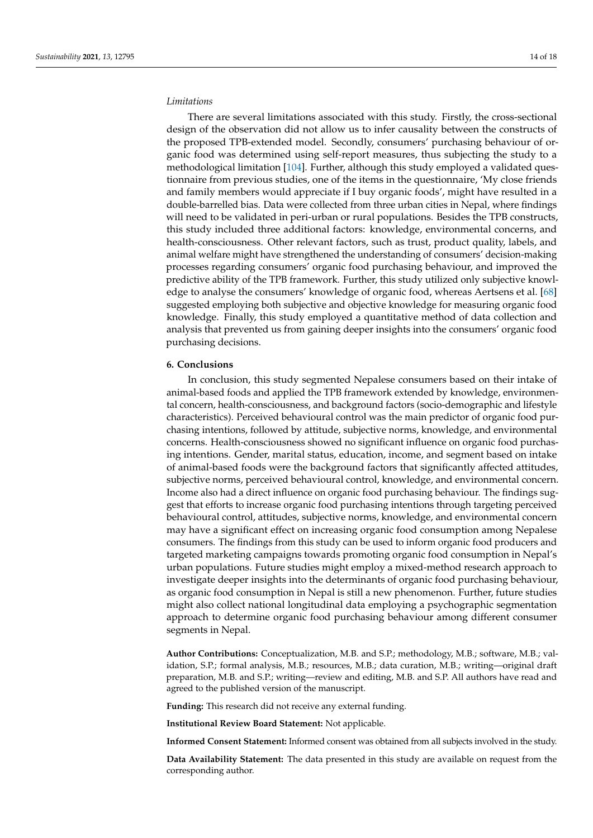## *Limitations*

There are several limitations associated with this study. Firstly, the cross-sectional design of the observation did not allow us to infer causality between the constructs of the proposed TPB-extended model. Secondly, consumers' purchasing behaviour of organic food was determined using self-report measures, thus subjecting the study to a methodological limitation [\[104\]](#page-17-17). Further, although this study employed a validated questionnaire from previous studies, one of the items in the questionnaire, 'My close friends and family members would appreciate if I buy organic foods', might have resulted in a double-barrelled bias. Data were collected from three urban cities in Nepal, where findings will need to be validated in peri-urban or rural populations. Besides the TPB constructs, this study included three additional factors: knowledge, environmental concerns, and health-consciousness. Other relevant factors, such as trust, product quality, labels, and animal welfare might have strengthened the understanding of consumers' decision-making processes regarding consumers' organic food purchasing behaviour, and improved the predictive ability of the TPB framework. Further, this study utilized only subjective knowledge to analyse the consumers' knowledge of organic food, whereas Aertsens et al. [\[68\]](#page-16-13) suggested employing both subjective and objective knowledge for measuring organic food knowledge. Finally, this study employed a quantitative method of data collection and analysis that prevented us from gaining deeper insights into the consumers' organic food purchasing decisions.

#### **6. Conclusions**

In conclusion, this study segmented Nepalese consumers based on their intake of animal-based foods and applied the TPB framework extended by knowledge, environmental concern, health-consciousness, and background factors (socio-demographic and lifestyle characteristics). Perceived behavioural control was the main predictor of organic food purchasing intentions, followed by attitude, subjective norms, knowledge, and environmental concerns. Health-consciousness showed no significant influence on organic food purchasing intentions. Gender, marital status, education, income, and segment based on intake of animal-based foods were the background factors that significantly affected attitudes, subjective norms, perceived behavioural control, knowledge, and environmental concern. Income also had a direct influence on organic food purchasing behaviour. The findings suggest that efforts to increase organic food purchasing intentions through targeting perceived behavioural control, attitudes, subjective norms, knowledge, and environmental concern may have a significant effect on increasing organic food consumption among Nepalese consumers. The findings from this study can be used to inform organic food producers and targeted marketing campaigns towards promoting organic food consumption in Nepal's urban populations. Future studies might employ a mixed-method research approach to investigate deeper insights into the determinants of organic food purchasing behaviour, as organic food consumption in Nepal is still a new phenomenon. Further, future studies might also collect national longitudinal data employing a psychographic segmentation approach to determine organic food purchasing behaviour among different consumer segments in Nepal.

**Author Contributions:** Conceptualization, M.B. and S.P.; methodology, M.B.; software, M.B.; validation, S.P.; formal analysis, M.B.; resources, M.B.; data curation, M.B.; writing—original draft preparation, M.B. and S.P.; writing—review and editing, M.B. and S.P. All authors have read and agreed to the published version of the manuscript.

**Funding:** This research did not receive any external funding.

**Institutional Review Board Statement:** Not applicable.

**Informed Consent Statement:** Informed consent was obtained from all subjects involved in the study.

**Data Availability Statement:** The data presented in this study are available on request from the corresponding author.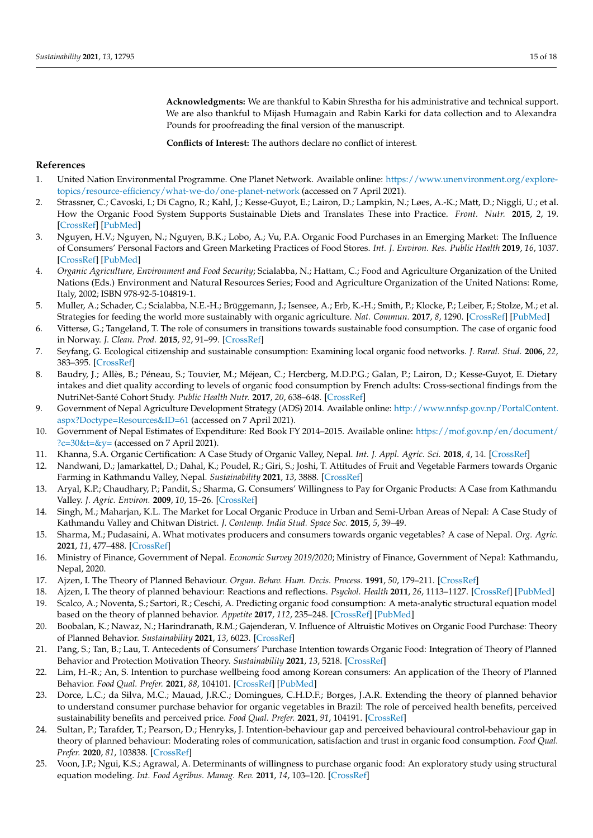**Acknowledgments:** We are thankful to Kabin Shrestha for his administrative and technical support. We are also thankful to Mijash Humagain and Rabin Karki for data collection and to Alexandra Pounds for proofreading the final version of the manuscript.

**Conflicts of Interest:** The authors declare no conflict of interest.

## **References**

- <span id="page-14-0"></span>1. United Nation Environmental Programme. One Planet Network. Available online: [https://www.unenvironment.org/explore](https://www.unenvironment.org/explore-topics/resource-efficiency/what-we-do/one-planet-network)[topics/resource-efficiency/what-we-do/one-planet-network](https://www.unenvironment.org/explore-topics/resource-efficiency/what-we-do/one-planet-network) (accessed on 7 April 2021).
- <span id="page-14-1"></span>2. Strassner, C.; Cavoski, I.; Di Cagno, R.; Kahl, J.; Kesse-Guyot, E.; Lairon, D.; Lampkin, N.; Løes, A.-K.; Matt, D.; Niggli, U.; et al. How the Organic Food System Supports Sustainable Diets and Translates These into Practice. *Front. Nutr.* **2015**, *2*, 19. [\[CrossRef\]](http://doi.org/10.3389/fnut.2015.00019) [\[PubMed\]](http://www.ncbi.nlm.nih.gov/pubmed/26176912)
- <span id="page-14-2"></span>3. Nguyen, H.V.; Nguyen, N.; Nguyen, B.K.; Lobo, A.; Vu, P.A. Organic Food Purchases in an Emerging Market: The Influence of Consumers' Personal Factors and Green Marketing Practices of Food Stores. *Int. J. Environ. Res. Public Health* **2019**, *16*, 1037. [\[CrossRef\]](http://doi.org/10.3390/ijerph16061037) [\[PubMed\]](http://www.ncbi.nlm.nih.gov/pubmed/30909390)
- <span id="page-14-3"></span>4. *Organic Agriculture, Environment and Food Security*; Scialabba, N.; Hattam, C.; Food and Agriculture Organization of the United Nations (Eds.) Environment and Natural Resources Series; Food and Agriculture Organization of the United Nations: Rome, Italy, 2002; ISBN 978-92-5-104819-1.
- <span id="page-14-4"></span>5. Muller, A.; Schader, C.; Scialabba, N.E.-H.; Brüggemann, J.; Isensee, A.; Erb, K.-H.; Smith, P.; Klocke, P.; Leiber, F.; Stolze, M.; et al. Strategies for feeding the world more sustainably with organic agriculture. *Nat. Commun.* **2017**, *8*, 1290. [\[CrossRef\]](http://doi.org/10.1038/s41467-017-01410-w) [\[PubMed\]](http://www.ncbi.nlm.nih.gov/pubmed/29138387)
- <span id="page-14-5"></span>6. Vittersø, G.; Tangeland, T. The role of consumers in transitions towards sustainable food consumption. The case of organic food in Norway. *J. Clean. Prod.* **2015**, *92*, 91–99. [\[CrossRef\]](http://doi.org/10.1016/j.jclepro.2014.12.055)
- <span id="page-14-6"></span>7. Seyfang, G. Ecological citizenship and sustainable consumption: Examining local organic food networks. *J. Rural. Stud.* **2006**, *22*, 383–395. [\[CrossRef\]](http://doi.org/10.1016/j.jrurstud.2006.01.003)
- <span id="page-14-7"></span>8. Baudry, J.; Allès, B.; Péneau, S.; Touvier, M.; Méjean, C.; Hercberg, M.D.P.G.; Galan, P.; Lairon, D.; Kesse-Guyot, E. Dietary intakes and diet quality according to levels of organic food consumption by French adults: Cross-sectional findings from the NutriNet-Santé Cohort Study. *Public Health Nutr.* **2017**, *20*, 638–648. [\[CrossRef\]](http://doi.org/10.1017/S1368980016002718)
- <span id="page-14-8"></span>9. Government of Nepal Agriculture Development Strategy (ADS) 2014. Available online: [http://www.nnfsp.gov.np/PortalContent.](http://www.nnfsp.gov.np/PortalContent.aspx?Doctype=Resources&ID=61) [aspx?Doctype=Resources&ID=61](http://www.nnfsp.gov.np/PortalContent.aspx?Doctype=Resources&ID=61) (accessed on 7 April 2021).
- <span id="page-14-9"></span>10. Government of Nepal Estimates of Expenditure: Red Book FY 2014–2015. Available online: [https://mof.gov.np/en/document/](https://mof.gov.np/en/document/?c=30&t=&y=) ?c= $30$ &t=&y= (accessed on 7 April 2021).
- <span id="page-14-10"></span>11. Khanna, S.A. Organic Certification: A Case Study of Organic Valley, Nepal. *Int. J. Appl. Agric. Sci.* **2018**, *4*, 14. [\[CrossRef\]](http://doi.org/10.11648/j.ijaas.20180401.13)
- <span id="page-14-11"></span>12. Nandwani, D.; Jamarkattel, D.; Dahal, K.; Poudel, R.; Giri, S.; Joshi, T. Attitudes of Fruit and Vegetable Farmers towards Organic Farming in Kathmandu Valley, Nepal. *Sustainability* **2021**, *13*, 3888. [\[CrossRef\]](http://doi.org/10.3390/su13073888)
- <span id="page-14-12"></span>13. Aryal, K.P.; Chaudhary, P.; Pandit, S.; Sharma, G. Consumers' Willingness to Pay for Organic Products: A Case from Kathmandu Valley. *J. Agric. Environ.* **2009**, *10*, 15–26. [\[CrossRef\]](http://doi.org/10.3126/aej.v10i0.2126)
- <span id="page-14-13"></span>14. Singh, M.; Maharjan, K.L. The Market for Local Organic Produce in Urban and Semi-Urban Areas of Nepal: A Case Study of Kathmandu Valley and Chitwan District. *J. Contemp. India Stud. Space Soc.* **2015**, *5*, 39–49.
- <span id="page-14-14"></span>15. Sharma, M.; Pudasaini, A. What motivates producers and consumers towards organic vegetables? A case of Nepal. *Org. Agric.* **2021**, *11*, 477–488. [\[CrossRef\]](http://doi.org/10.1007/s13165-021-00354-2)
- <span id="page-14-15"></span>16. Ministry of Finance, Government of Nepal. *Economic Survey 2019/2020*; Ministry of Finance, Government of Nepal: Kathmandu, Nepal, 2020.
- <span id="page-14-16"></span>17. Ajzen, I. The Theory of Planned Behaviour. *Organ. Behav. Hum. Decis. Process.* **1991**, *50*, 179–211. [\[CrossRef\]](http://doi.org/10.1016/0749-5978(91)90020-T)
- <span id="page-14-17"></span>18. Ajzen, I. The theory of planned behaviour: Reactions and reflections. *Psychol. Health* **2011**, *26*, 1113–1127. [\[CrossRef\]](http://doi.org/10.1080/08870446.2011.613995) [\[PubMed\]](http://www.ncbi.nlm.nih.gov/pubmed/21929476)
- <span id="page-14-18"></span>19. Scalco, A.; Noventa, S.; Sartori, R.; Ceschi, A. Predicting organic food consumption: A meta-analytic structural equation model based on the theory of planned behavior. *Appetite* **2017**, *112*, 235–248. [\[CrossRef\]](http://doi.org/10.1016/j.appet.2017.02.007) [\[PubMed\]](http://www.ncbi.nlm.nih.gov/pubmed/28188865)
- 20. Boobalan, K.; Nawaz, N.; Harindranath, R.M.; Gajenderan, V. Influence of Altruistic Motives on Organic Food Purchase: Theory of Planned Behavior. *Sustainability* **2021**, *13*, 6023. [\[CrossRef\]](http://doi.org/10.3390/su13116023)
- 21. Pang, S.; Tan, B.; Lau, T. Antecedents of Consumers' Purchase Intention towards Organic Food: Integration of Theory of Planned Behavior and Protection Motivation Theory. *Sustainability* **2021**, *13*, 5218. [\[CrossRef\]](http://doi.org/10.3390/su13095218)
- 22. Lim, H.-R.; An, S. Intention to purchase wellbeing food among Korean consumers: An application of the Theory of Planned Behavior. *Food Qual. Prefer.* **2021**, *88*, 104101. [\[CrossRef\]](http://doi.org/10.1016/j.foodqual.2020.104101) [\[PubMed\]](http://www.ncbi.nlm.nih.gov/pubmed/33071469)
- <span id="page-14-19"></span>23. Dorce, L.C.; da Silva, M.C.; Mauad, J.R.C.; Domingues, C.H.D.F.; Borges, J.A.R. Extending the theory of planned behavior to understand consumer purchase behavior for organic vegetables in Brazil: The role of perceived health benefits, perceived sustainability benefits and perceived price. *Food Qual. Prefer.* **2021**, *91*, 104191. [\[CrossRef\]](http://doi.org/10.1016/j.foodqual.2021.104191)
- <span id="page-14-20"></span>24. Sultan, P.; Tarafder, T.; Pearson, D.; Henryks, J. Intention-behaviour gap and perceived behavioural control-behaviour gap in theory of planned behaviour: Moderating roles of communication, satisfaction and trust in organic food consumption. *Food Qual. Prefer.* **2020**, *81*, 103838. [\[CrossRef\]](http://doi.org/10.1016/j.foodqual.2019.103838)
- <span id="page-14-21"></span>25. Voon, J.P.; Ngui, K.S.; Agrawal, A. Determinants of willingness to purchase organic food: An exploratory study using structural equation modeling. *Int. Food Agribus. Manag. Rev.* **2011**, *14*, 103–120. [\[CrossRef\]](http://doi.org/10.22004/ag.econ.103989)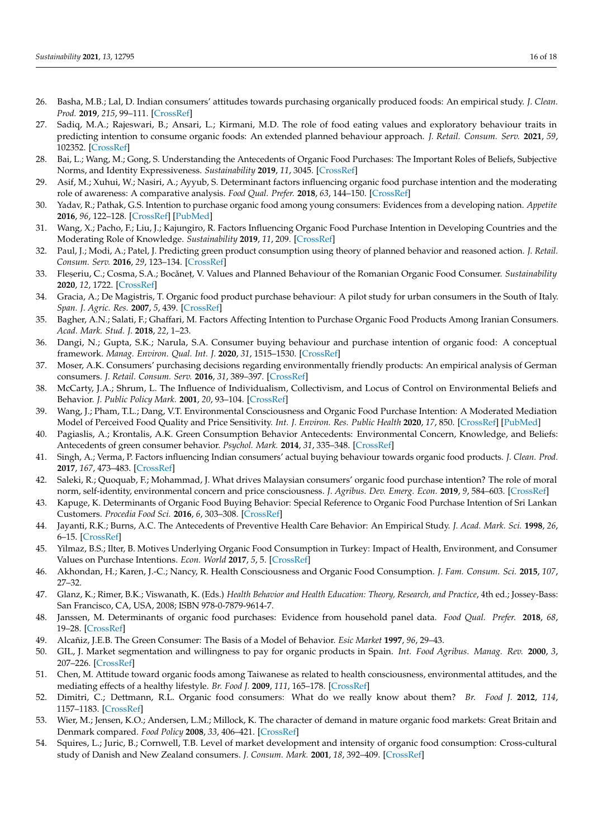- <span id="page-15-0"></span>26. Basha, M.B.; Lal, D. Indian consumers' attitudes towards purchasing organically produced foods: An empirical study. *J. Clean. Prod.* **2019**, *215*, 99–111. [\[CrossRef\]](http://doi.org/10.1016/j.jclepro.2018.12.098)
- <span id="page-15-1"></span>27. Sadiq, M.A.; Rajeswari, B.; Ansari, L.; Kirmani, M.D. The role of food eating values and exploratory behaviour traits in predicting intention to consume organic foods: An extended planned behaviour approach. *J. Retail. Consum. Serv.* **2021**, *59*, 102352. [\[CrossRef\]](http://doi.org/10.1016/j.jretconser.2020.102352)
- <span id="page-15-26"></span>28. Bai, L.; Wang, M.; Gong, S. Understanding the Antecedents of Organic Food Purchases: The Important Roles of Beliefs, Subjective Norms, and Identity Expressiveness. *Sustainability* **2019**, *11*, 3045. [\[CrossRef\]](http://doi.org/10.3390/su11113045)
- <span id="page-15-2"></span>29. Asif, M.; Xuhui, W.; Nasiri, A.; Ayyub, S. Determinant factors influencing organic food purchase intention and the moderating role of awareness: A comparative analysis. *Food Qual. Prefer.* **2018**, *63*, 144–150. [\[CrossRef\]](http://doi.org/10.1016/j.foodqual.2017.08.006)
- <span id="page-15-3"></span>30. Yadav, R.; Pathak, G.S. Intention to purchase organic food among young consumers: Evidences from a developing nation. *Appetite* **2016**, *96*, 122–128. [\[CrossRef\]](http://doi.org/10.1016/j.appet.2015.09.017) [\[PubMed\]](http://www.ncbi.nlm.nih.gov/pubmed/26386300)
- <span id="page-15-4"></span>31. Wang, X.; Pacho, F.; Liu, J.; Kajungiro, R. Factors Influencing Organic Food Purchase Intention in Developing Countries and the Moderating Role of Knowledge. *Sustainability* **2019**, *11*, 209. [\[CrossRef\]](http://doi.org/10.3390/su11010209)
- <span id="page-15-5"></span>32. Paul, J.; Modi, A.; Patel, J. Predicting green product consumption using theory of planned behavior and reasoned action. *J. Retail. Consum. Serv.* **2016**, *29*, 123–134. [\[CrossRef\]](http://doi.org/10.1016/j.jretconser.2015.11.006)
- <span id="page-15-6"></span>33. Fleșeriu, C.; Cosma, S.A.; Bocăneț, V. Values and Planned Behaviour of the Romanian Organic Food Consumer. *Sustainability* **2020**, *12*, 1722. [\[CrossRef\]](http://doi.org/10.3390/su12051722)
- <span id="page-15-7"></span>34. Gracia, A.; De Magistris, T. Organic food product purchase behaviour: A pilot study for urban consumers in the South of Italy. *Span. J. Agric. Res.* **2007**, *5*, 439. [\[CrossRef\]](http://doi.org/10.5424/sjar/2007054-5356)
- 35. Bagher, A.N.; Salati, F.; Ghaffari, M. Factors Affecting Intention to Purchase Organic Food Products Among Iranian Consumers. *Acad. Mark. Stud. J.* **2018**, *22*, 1–23.
- <span id="page-15-8"></span>36. Dangi, N.; Gupta, S.K.; Narula, S.A. Consumer buying behaviour and purchase intention of organic food: A conceptual framework. *Manag. Environ. Qual. Int. J.* **2020**, *31*, 1515–1530. [\[CrossRef\]](http://doi.org/10.1108/MEQ-01-2020-0014)
- <span id="page-15-9"></span>37. Moser, A.K. Consumers' purchasing decisions regarding environmentally friendly products: An empirical analysis of German consumers. *J. Retail. Consum. Serv.* **2016**, *31*, 389–397. [\[CrossRef\]](http://doi.org/10.1016/j.jretconser.2016.05.006)
- <span id="page-15-10"></span>38. McCarty, J.A.; Shrum, L. The Influence of Individualism, Collectivism, and Locus of Control on Environmental Beliefs and Behavior. *J. Public Policy Mark.* **2001**, *20*, 93–104. [\[CrossRef\]](http://doi.org/10.1509/jppm.20.1.93.17291)
- <span id="page-15-11"></span>39. Wang, J.; Pham, T.L.; Dang, V.T. Environmental Consciousness and Organic Food Purchase Intention: A Moderated Mediation Model of Perceived Food Quality and Price Sensitivity. *Int. J. Environ. Res. Public Health* **2020**, *17*, 850. [\[CrossRef\]](http://doi.org/10.3390/ijerph17030850) [\[PubMed\]](http://www.ncbi.nlm.nih.gov/pubmed/32013260)
- <span id="page-15-12"></span>40. Pagiaslis, A.; Krontalis, A.K. Green Consumption Behavior Antecedents: Environmental Concern, Knowledge, and Beliefs: Antecedents of green consumer behavior. *Psychol. Mark.* **2014**, *31*, 335–348. [\[CrossRef\]](http://doi.org/10.1002/mar.20698)
- <span id="page-15-13"></span>41. Singh, A.; Verma, P. Factors influencing Indian consumers' actual buying behaviour towards organic food products. *J. Clean. Prod.* **2017**, *167*, 473–483. [\[CrossRef\]](http://doi.org/10.1016/j.jclepro.2017.08.106)
- <span id="page-15-14"></span>42. Saleki, R.; Quoquab, F.; Mohammad, J. What drives Malaysian consumers' organic food purchase intention? The role of moral norm, self-identity, environmental concern and price consciousness. *J. Agribus. Dev. Emerg. Econ.* **2019**, *9*, 584–603. [\[CrossRef\]](http://doi.org/10.1108/JADEE-02-2019-0018)
- <span id="page-15-15"></span>43. Kapuge, K. Determinants of Organic Food Buying Behavior: Special Reference to Organic Food Purchase Intention of Sri Lankan Customers. *Procedia Food Sci.* **2016**, *6*, 303–308. [\[CrossRef\]](http://doi.org/10.1016/j.profoo.2016.02.060)
- <span id="page-15-16"></span>44. Jayanti, R.K.; Burns, A.C. The Antecedents of Preventive Health Care Behavior: An Empirical Study. *J. Acad. Mark. Sci.* **1998**, *26*, 6–15. [\[CrossRef\]](http://doi.org/10.1177/0092070398261002)
- <span id="page-15-17"></span>45. Yilmaz, B.S.; Ilter, B. Motives Underlying Organic Food Consumption in Turkey: Impact of Health, Environment, and Consumer Values on Purchase Intentions. *Econ. World* **2017**, *5*, 5. [\[CrossRef\]](http://doi.org/10.17265/2328-7144/2017.04.006)
- <span id="page-15-18"></span>46. Akhondan, H.; Karen, J.-C.; Nancy, R. Health Consciousness and Organic Food Consumption. *J. Fam. Consum. Sci.* **2015**, *107*, 27–32.
- <span id="page-15-19"></span>47. Glanz, K.; Rimer, B.K.; Viswanath, K. (Eds.) *Health Behavior and Health Education: Theory, Research, and Practice*, 4th ed.; Jossey-Bass: San Francisco, CA, USA, 2008; ISBN 978-0-7879-9614-7.
- <span id="page-15-20"></span>48. Janssen, M. Determinants of organic food purchases: Evidence from household panel data. *Food Qual. Prefer.* **2018**, *68*, 19–28. [\[CrossRef\]](http://doi.org/10.1016/j.foodqual.2018.02.002)
- <span id="page-15-21"></span>49. Alcañiz, J.E.B. The Green Consumer: The Basis of a Model of Behavior. *Esic Market* **1997**, *96*, 29–43.
- <span id="page-15-22"></span>50. GIL, J. Market segmentation and willingness to pay for organic products in Spain. *Int. Food Agribus. Manag. Rev.* **2000**, *3*, 207–226. [\[CrossRef\]](http://doi.org/10.1016/S1096-7508(01)00040-4)
- <span id="page-15-23"></span>51. Chen, M. Attitude toward organic foods among Taiwanese as related to health consciousness, environmental attitudes, and the mediating effects of a healthy lifestyle. *Br. Food J.* **2009**, *111*, 165–178. [\[CrossRef\]](http://doi.org/10.1108/00070700910931986)
- <span id="page-15-24"></span>52. Dimitri, C.; Dettmann, R.L. Organic food consumers: What do we really know about them? *Br. Food J.* **2012**, *114*, 1157–1183. [\[CrossRef\]](http://doi.org/10.1108/00070701211252101)
- 53. Wier, M.; Jensen, K.O.; Andersen, L.M.; Millock, K. The character of demand in mature organic food markets: Great Britain and Denmark compared. *Food Policy* **2008**, *33*, 406–421. [\[CrossRef\]](http://doi.org/10.1016/j.foodpol.2008.01.002)
- <span id="page-15-25"></span>54. Squires, L.; Juric, B.; Cornwell, T.B. Level of market development and intensity of organic food consumption: Cross-cultural study of Danish and New Zealand consumers. *J. Consum. Mark.* **2001**, *18*, 392–409. [\[CrossRef\]](http://doi.org/10.1108/07363760110398754)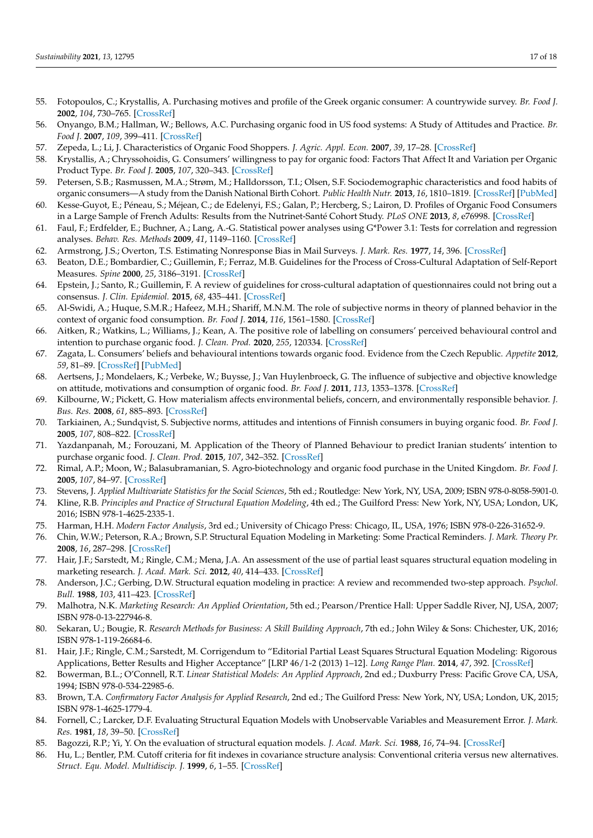- <span id="page-16-0"></span>55. Fotopoulos, C.; Krystallis, A. Purchasing motives and profile of the Greek organic consumer: A countrywide survey. *Br. Food J.* **2002**, *104*, 730–765. [\[CrossRef\]](http://doi.org/10.1108/00070700210443110)
- <span id="page-16-1"></span>56. Onyango, B.M.; Hallman, W.; Bellows, A.C. Purchasing organic food in US food systems: A Study of Attitudes and Practice. *Br. Food J.* **2007**, *109*, 399–411. [\[CrossRef\]](http://doi.org/10.1108/00070700710746803)
- <span id="page-16-2"></span>57. Zepeda, L.; Li, J. Characteristics of Organic Food Shoppers. *J. Agric. Appl. Econ.* **2007**, *39*, 17–28. [\[CrossRef\]](http://doi.org/10.1017/S1074070800022720)
- <span id="page-16-3"></span>58. Krystallis, A.; Chryssohoidis, G. Consumers' willingness to pay for organic food: Factors That Affect It and Variation per Organic Product Type. *Br. Food J.* **2005**, *107*, 320–343. [\[CrossRef\]](http://doi.org/10.1108/00070700510596901)
- <span id="page-16-4"></span>59. Petersen, S.B.; Rasmussen, M.A.; Strøm, M.; Halldorsson, T.I.; Olsen, S.F. Sociodemographic characteristics and food habits of organic consumers—A study from the Danish National Birth Cohort. *Public Health Nutr.* **2013**, *16*, 1810–1819. [\[CrossRef\]](http://doi.org/10.1017/S1368980012004119) [\[PubMed\]](http://www.ncbi.nlm.nih.gov/pubmed/22971358)
- <span id="page-16-5"></span>60. Kesse-Guyot, E.; Péneau, S.; Méjean, C.; de Edelenyi, F.S.; Galan, P.; Hercberg, S.; Lairon, D. Profiles of Organic Food Consumers in a Large Sample of French Adults: Results from the Nutrinet-Santé Cohort Study. *PLoS ONE* **2013**, *8*, e76998. [\[CrossRef\]](http://doi.org/10.1371/journal.pone.0076998)
- <span id="page-16-6"></span>61. Faul, F.; Erdfelder, E.; Buchner, A.; Lang, A.-G. Statistical power analyses using G\*Power 3.1: Tests for correlation and regression analyses. *Behav. Res. Methods* **2009**, *41*, 1149–1160. [\[CrossRef\]](http://doi.org/10.3758/BRM.41.4.1149)
- <span id="page-16-7"></span>62. Armstrong, J.S.; Overton, T.S. Estimating Nonresponse Bias in Mail Surveys. *J. Mark. Res.* **1977**, *14*, 396. [\[CrossRef\]](http://doi.org/10.1177/002224377701400320)
- <span id="page-16-8"></span>63. Beaton, D.E.; Bombardier, C.; Guillemin, F.; Ferraz, M.B. Guidelines for the Process of Cross-Cultural Adaptation of Self-Report Measures. *Spine* **2000**, *25*, 3186–3191. [\[CrossRef\]](http://doi.org/10.1097/00007632-200012150-00014)
- <span id="page-16-9"></span>64. Epstein, J.; Santo, R.; Guillemin, F. A review of guidelines for cross-cultural adaptation of questionnaires could not bring out a consensus. *J. Clin. Epidemiol.* **2015**, *68*, 435–441. [\[CrossRef\]](http://doi.org/10.1016/j.jclinepi.2014.11.021)
- <span id="page-16-10"></span>65. Al-Swidi, A.; Huque, S.M.R.; Hafeez, M.H.; Shariff, M.N.M. The role of subjective norms in theory of planned behavior in the context of organic food consumption. *Br. Food J.* **2014**, *116*, 1561–1580. [\[CrossRef\]](http://doi.org/10.1108/BFJ-05-2013-0105)
- <span id="page-16-11"></span>66. Aitken, R.; Watkins, L.; Williams, J.; Kean, A. The positive role of labelling on consumers' perceived behavioural control and intention to purchase organic food. *J. Clean. Prod.* **2020**, *255*, 120334. [\[CrossRef\]](http://doi.org/10.1016/j.jclepro.2020.120334)
- <span id="page-16-12"></span>67. Zagata, L. Consumers' beliefs and behavioural intentions towards organic food. Evidence from the Czech Republic. *Appetite* **2012**, *59*, 81–89. [\[CrossRef\]](http://doi.org/10.1016/j.appet.2012.03.023) [\[PubMed\]](http://www.ncbi.nlm.nih.gov/pubmed/22504401)
- <span id="page-16-13"></span>68. Aertsens, J.; Mondelaers, K.; Verbeke, W.; Buysse, J.; Van Huylenbroeck, G. The influence of subjective and objective knowledge on attitude, motivations and consumption of organic food. *Br. Food J.* **2011**, *113*, 1353–1378. [\[CrossRef\]](http://doi.org/10.1108/00070701111179988)
- <span id="page-16-14"></span>69. Kilbourne, W.; Pickett, G. How materialism affects environmental beliefs, concern, and environmentally responsible behavior. *J. Bus. Res.* **2008**, *61*, 885–893. [\[CrossRef\]](http://doi.org/10.1016/j.jbusres.2007.09.016)
- <span id="page-16-15"></span>70. Tarkiainen, A.; Sundqvist, S. Subjective norms, attitudes and intentions of Finnish consumers in buying organic food. *Br. Food J.* **2005**, *107*, 808–822. [\[CrossRef\]](http://doi.org/10.1108/00070700510629760)
- <span id="page-16-16"></span>71. Yazdanpanah, M.; Forouzani, M. Application of the Theory of Planned Behaviour to predict Iranian students' intention to purchase organic food. *J. Clean. Prod.* **2015**, *107*, 342–352. [\[CrossRef\]](http://doi.org/10.1016/j.jclepro.2015.02.071)
- <span id="page-16-17"></span>72. Rimal, A.P.; Moon, W.; Balasubramanian, S. Agro-biotechnology and organic food purchase in the United Kingdom. *Br. Food J.* **2005**, *107*, 84–97. [\[CrossRef\]](http://doi.org/10.1108/00070700510579162)
- <span id="page-16-18"></span>73. Stevens, J. *Applied Multivariate Statistics for the Social Sciences*, 5th ed.; Routledge: New York, NY, USA, 2009; ISBN 978-0-8058-5901-0.
- <span id="page-16-19"></span>74. Kline, R.B. *Principles and Practice of Structural Equation Modeling*, 4th ed.; The Guilford Press: New York, NY, USA; London, UK, 2016; ISBN 978-1-4625-2335-1.
- <span id="page-16-20"></span>75. Harman, H.H. *Modern Factor Analysis*, 3rd ed.; University of Chicago Press: Chicago, IL, USA, 1976; ISBN 978-0-226-31652-9.
- <span id="page-16-21"></span>76. Chin, W.W.; Peterson, R.A.; Brown, S.P. Structural Equation Modeling in Marketing: Some Practical Reminders. *J. Mark. Theory Pr.* **2008**, *16*, 287–298. [\[CrossRef\]](http://doi.org/10.2753/MTP1069-6679160402)
- <span id="page-16-22"></span>77. Hair, J.F.; Sarstedt, M.; Ringle, C.M.; Mena, J.A. An assessment of the use of partial least squares structural equation modeling in marketing research. *J. Acad. Mark. Sci.* **2012**, *40*, 414–433. [\[CrossRef\]](http://doi.org/10.1007/s11747-011-0261-6)
- <span id="page-16-23"></span>78. Anderson, J.C.; Gerbing, D.W. Structural equation modeling in practice: A review and recommended two-step approach. *Psychol. Bull.* **1988**, *103*, 411–423. [\[CrossRef\]](http://doi.org/10.1037/0033-2909.103.3.411)
- <span id="page-16-24"></span>79. Malhotra, N.K. *Marketing Research: An Applied Orientation*, 5th ed.; Pearson/Prentice Hall: Upper Saddle River, NJ, USA, 2007; ISBN 978-0-13-227946-8.
- <span id="page-16-25"></span>80. Sekaran, U.; Bougie, R. *Research Methods for Business: A Skill Building Approach*, 7th ed.; John Wiley & Sons: Chichester, UK, 2016; ISBN 978-1-119-26684-6.
- <span id="page-16-26"></span>81. Hair, J.F.; Ringle, C.M.; Sarstedt, M. Corrigendum to "Editorial Partial Least Squares Structural Equation Modeling: Rigorous Applications, Better Results and Higher Acceptance" [LRP 46/1-2 (2013) 1–12]. *Long Range Plan.* **2014**, *47*, 392. [\[CrossRef\]](http://doi.org/10.1016/j.lrp.2013.08.016)
- <span id="page-16-27"></span>82. Bowerman, B.L.; O'Connell, R.T. *Linear Statistical Models: An Applied Approach*, 2nd ed.; Duxburry Press: Pacific Grove CA, USA, 1994; ISBN 978-0-534-22985-6.
- <span id="page-16-28"></span>83. Brown, T.A. *Confirmatory Factor Analysis for Applied Research*, 2nd ed.; The Guilford Press: New York, NY, USA; London, UK, 2015; ISBN 978-1-4625-1779-4.
- <span id="page-16-29"></span>84. Fornell, C.; Larcker, D.F. Evaluating Structural Equation Models with Unobservable Variables and Measurement Error. *J. Mark. Res.* **1981**, *18*, 39–50. [\[CrossRef\]](http://doi.org/10.1177/002224378101800104)
- <span id="page-16-30"></span>85. Bagozzi, R.P.; Yi, Y. On the evaluation of structural equation models. *J. Acad. Mark. Sci.* **1988**, *16*, 74–94. [\[CrossRef\]](http://doi.org/10.1007/BF02723327)
- <span id="page-16-31"></span>86. Hu, L.; Bentler, P.M. Cutoff criteria for fit indexes in covariance structure analysis: Conventional criteria versus new alternatives. *Struct. Equ. Model. Multidiscip. J.* **1999**, *6*, 1–55. [\[CrossRef\]](http://doi.org/10.1080/10705519909540118)